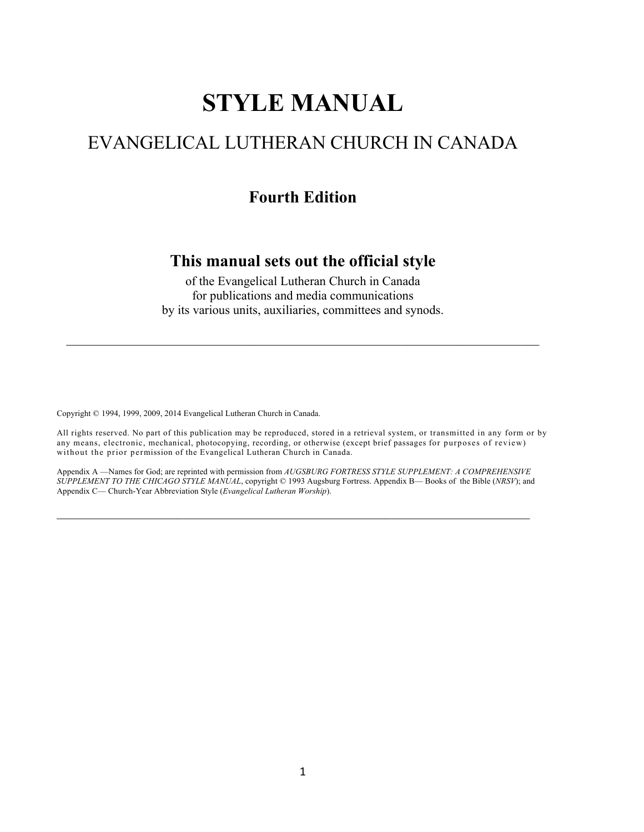# **STYLE MANUAL**

# EVANGELICAL LUTHERAN CHURCH IN CANADA

### **Fourth Edition**

### **This manual sets out the official style**

of the Evangelical Lutheran Church in Canada for publications and media communications by its various units, auxiliaries, committees and synods.

Copyright © 1994, 1999, 2009, 2014 Evangelical Lutheran Church in Canada.

All rights reserved. No part of this publication may be reproduced, stored in a retrieval system, or transmitted in any form or by any means, electronic, mechanical, photocopying, recording, or otherwise (except brief passages for purposes of review) without the prior permission of the Evangelical Lutheran Church in Canada.

Appendix A —Names for God; are reprinted with permission from *AUGSBURG FORTRESS STYLE SUPPLEMENT: A COMPREHENSIVE SUPPLEMENT TO THE CHICAGO STYLE MANUAL*, copyright © 1993 Augsburg Fortress. Appendix B— Books of the Bible (*NRSV*); and Appendix C— Church-Year Abbreviation Style (*Evangelical Lutheran Worship*).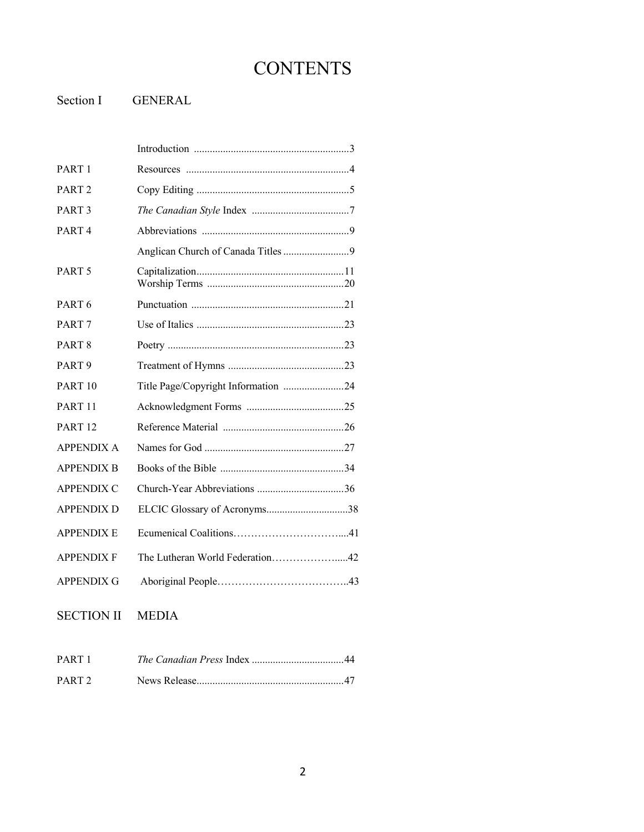# **CONTENTS**

Section I GENERAL

| PART <sub>1</sub>  |                                     |
|--------------------|-------------------------------------|
| PART <sub>2</sub>  |                                     |
| PART <sub>3</sub>  |                                     |
| PART <sub>4</sub>  |                                     |
|                    |                                     |
| PART <sub>5</sub>  |                                     |
| PART <sub>6</sub>  |                                     |
| PART <sub>7</sub>  |                                     |
| PART <sub>8</sub>  |                                     |
| PART <sub>9</sub>  |                                     |
| PART <sub>10</sub> | Title Page/Copyright Information 24 |
| PART <sub>11</sub> |                                     |
| PART <sub>12</sub> |                                     |
| <b>APPENDIX A</b>  |                                     |
| <b>APPENDIX B</b>  |                                     |
| <b>APPENDIX C</b>  |                                     |
| <b>APPENDIX D</b>  | ELCIC Glossary of Acronyms38        |
| <b>APPENDIX E</b>  |                                     |
| <b>APPENDIX F</b>  | The Lutheran World Federation42     |
| <b>APPENDIX G</b>  |                                     |

SECTION II MEDIA

| PART 1            |  |
|-------------------|--|
| PART <sub>2</sub> |  |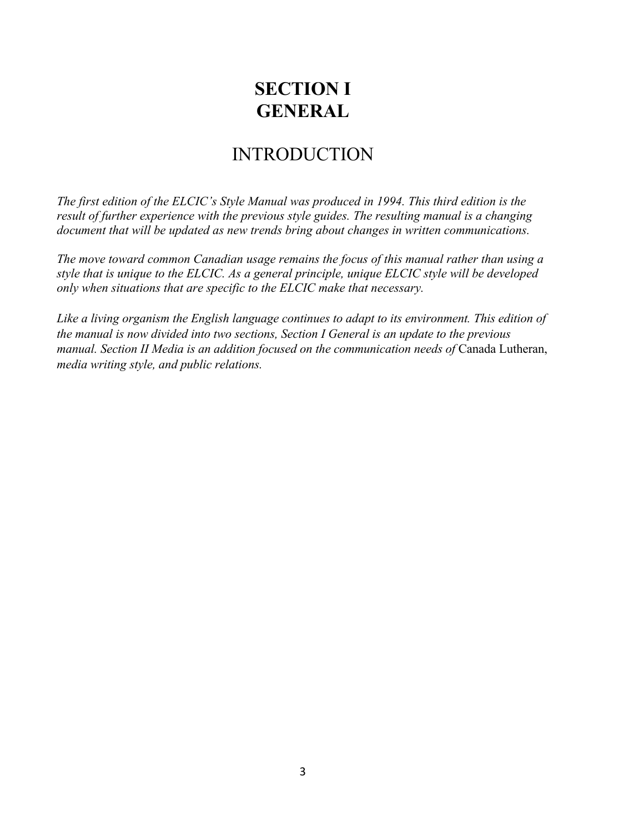# **SECTION I GENERAL**

# INTRODUCTION

*The first edition of the ELCIC's Style Manual was produced in 1994. This third edition is the result of further experience with the previous style guides. The resulting manual is a changing document that will be updated as new trends bring about changes in written communications.* 

*The move toward common Canadian usage remains the focus of this manual rather than using a style that is unique to the ELCIC. As a general principle, unique ELCIC style will be developed only when situations that are specific to the ELCIC make that necessary.*

*Like a living organism the English language continues to adapt to its environment. This edition of the manual is now divided into two sections, Section I General is an update to the previous manual. Section II Media is an addition focused on the communication needs of Canada Lutheran, media writing style, and public relations.*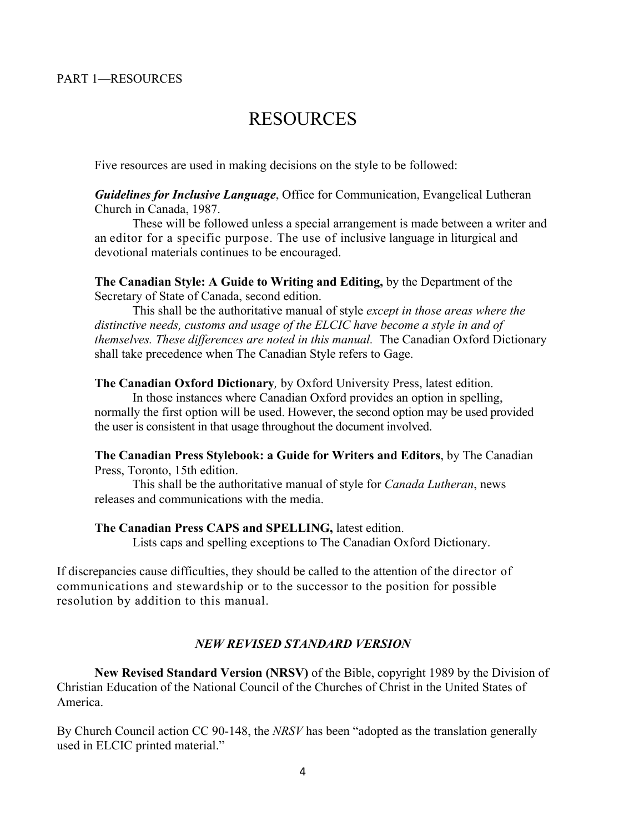# RESOURCES

Five resources are used in making decisions on the style to be followed:

*Guidelines for Inclusive Language*, Office for Communication, Evangelical Lutheran Church in Canada, 1987.

These will be followed unless a special arrangement is made between a writer and an editor for a specific purpose. The use of inclusive language in liturgical and devotional materials continues to be encouraged.

**The Canadian Style: A Guide to Writing and Editing,** by the Department of the Secretary of State of Canada, second edition.

This shall be the authoritative manual of style *except in those areas where the distinctive needs, customs and usage of the ELCIC have become a style in and of themselves. These differences are noted in this manual.* The Canadian Oxford Dictionary shall take precedence when The Canadian Style refers to Gage.

**The Canadian Oxford Dictionary***,* by Oxford University Press, latest edition.

In those instances where Canadian Oxford provides an option in spelling, normally the first option will be used. However, the second option may be used provided the user is consistent in that usage throughout the document involved.

**The Canadian Press Stylebook: a Guide for Writers and Editors**, by The Canadian Press, Toronto, 15th edition.

This shall be the authoritative manual of style for *Canada Lutheran*, news releases and communications with the media.

#### **The Canadian Press CAPS and SPELLING,** latest edition.

Lists caps and spelling exceptions to The Canadian Oxford Dictionary.

If discrepancies cause difficulties, they should be called to the attention of the director of communications and stewardship or to the successor to the position for possible resolution by addition to this manual.

#### *NEW REVISED STANDARD VERSION*

**New Revised Standard Version (NRSV)** of the Bible, copyright 1989 by the Division of Christian Education of the National Council of the Churches of Christ in the United States of America.

By Church Council action CC 90-148, the *NRSV* has been "adopted as the translation generally used in ELCIC printed material."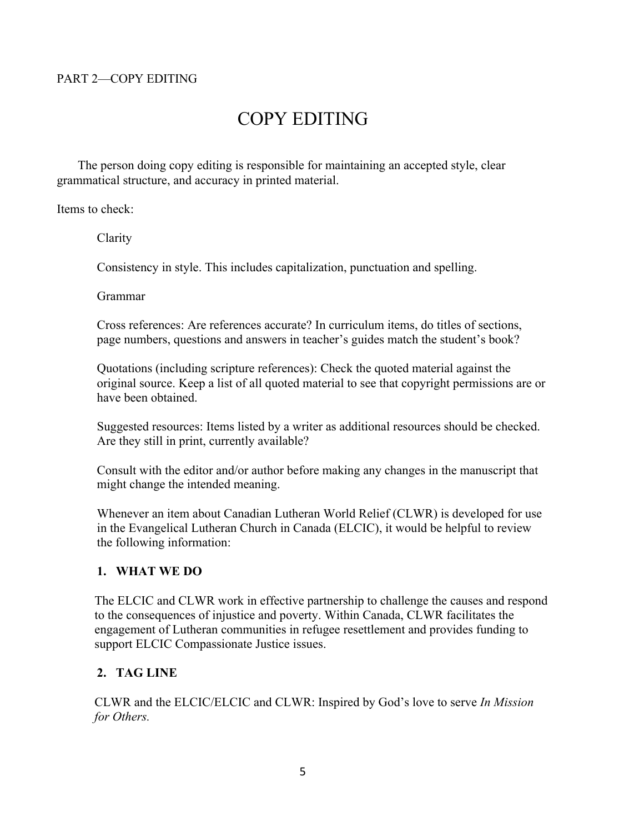#### PART 2—COPY EDITING

# COPY EDITING

The person doing copy editing is responsible for maintaining an accepted style, clear grammatical structure, and accuracy in printed material.

Items to check:

Clarity

Consistency in style. This includes capitalization, punctuation and spelling.

Grammar

Cross references: Are references accurate? In curriculum items, do titles of sections, page numbers, questions and answers in teacher's guides match the student's book?

Quotations (including scripture references): Check the quoted material against the original source. Keep a list of all quoted material to see that copyright permissions are or have been obtained.

Suggested resources: Items listed by a writer as additional resources should be checked. Are they still in print, currently available?

Consult with the editor and/or author before making any changes in the manuscript that might change the intended meaning.

Whenever an item about Canadian Lutheran World Relief (CLWR) is developed for use in the Evangelical Lutheran Church in Canada (ELCIC), it would be helpful to review the following information:

#### **1. WHAT WE DO**

The ELCIC and CLWR work in effective partnership to challenge the causes and respond to the consequences of injustice and poverty. Within Canada, CLWR facilitates the engagement of Lutheran communities in refugee resettlement and provides funding to support ELCIC Compassionate Justice issues.

#### **2. TAG LINE**

CLWR and the ELCIC/ELCIC and CLWR: Inspired by God's love to serve *In Mission for Others.*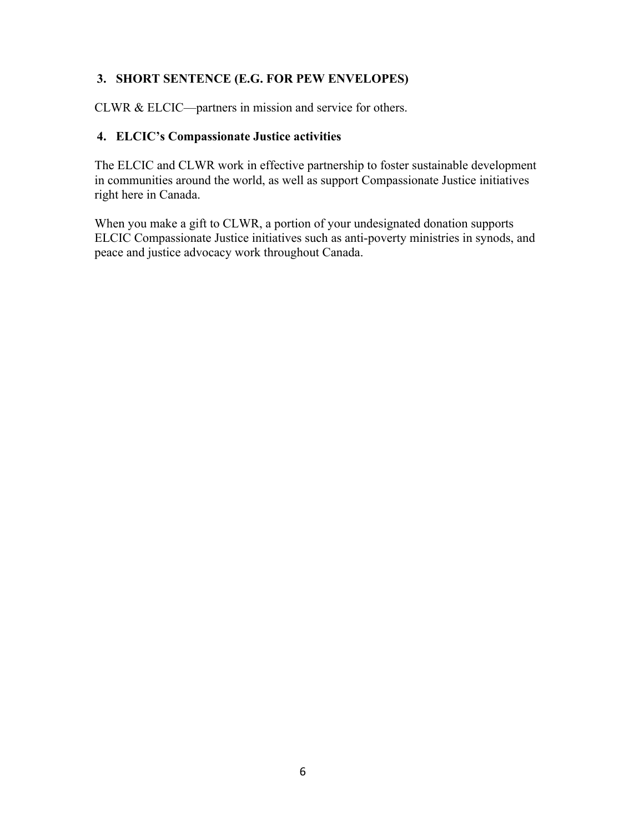#### **3. SHORT SENTENCE (E.G. FOR PEW ENVELOPES)**

CLWR & ELCIC—partners in mission and service for others.

#### **4. ELCIC's Compassionate Justice activities**

The ELCIC and CLWR work in effective partnership to foster sustainable development in communities around the world, as well as support Compassionate Justice initiatives right here in Canada.

When you make a gift to CLWR, a portion of your undesignated donation supports ELCIC Compassionate Justice initiatives such as anti-poverty ministries in synods, and peace and justice advocacy work throughout Canada.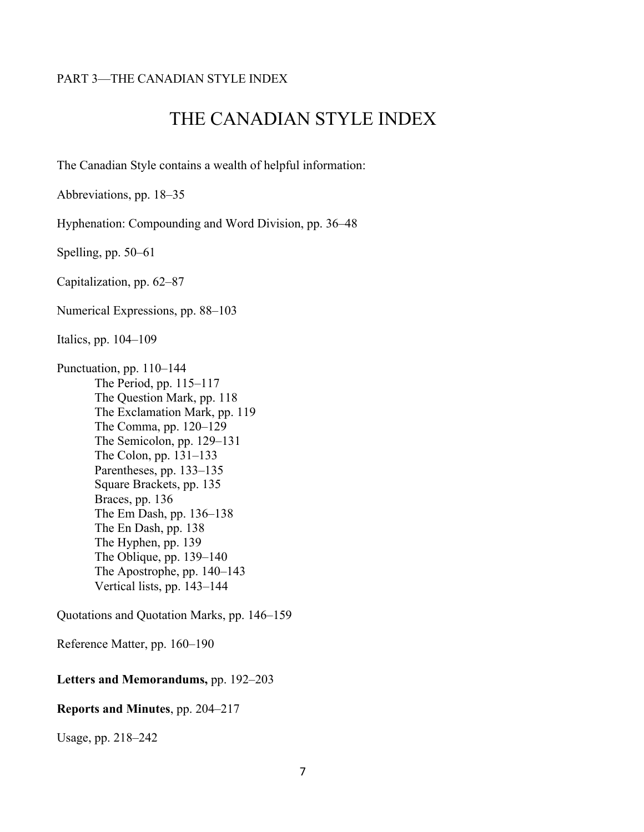#### PART 3—THE CANADIAN STYLE INDEX

# THE CANADIAN STYLE INDEX

The Canadian Style contains a wealth of helpful information:

Abbreviations, pp. 18–35

Hyphenation: Compounding and Word Division, pp. 36–48

Spelling, pp. 50–61

Capitalization, pp. 62–87

Numerical Expressions, pp. 88–103

Italics, pp. 104–109

Punctuation, pp. 110–144 The Period, pp. 115–117 The Question Mark, pp. 118 The Exclamation Mark, pp. 119 The Comma, pp. 120–129 The Semicolon, pp. 129–131 The Colon, pp. 131–133 Parentheses, pp. 133–135 Square Brackets, pp. 135 Braces, pp. 136 The Em Dash, pp. 136–138 The En Dash, pp. 138 The Hyphen, pp. 139 The Oblique, pp. 139–140 The Apostrophe, pp. 140–143 Vertical lists, pp. 143–144

Quotations and Quotation Marks, pp. 146–159

Reference Matter, pp. 160–190

#### **Letters and Memorandums,** pp. 192–203

#### **Reports and Minutes**, pp. 204–217

Usage, pp. 218–242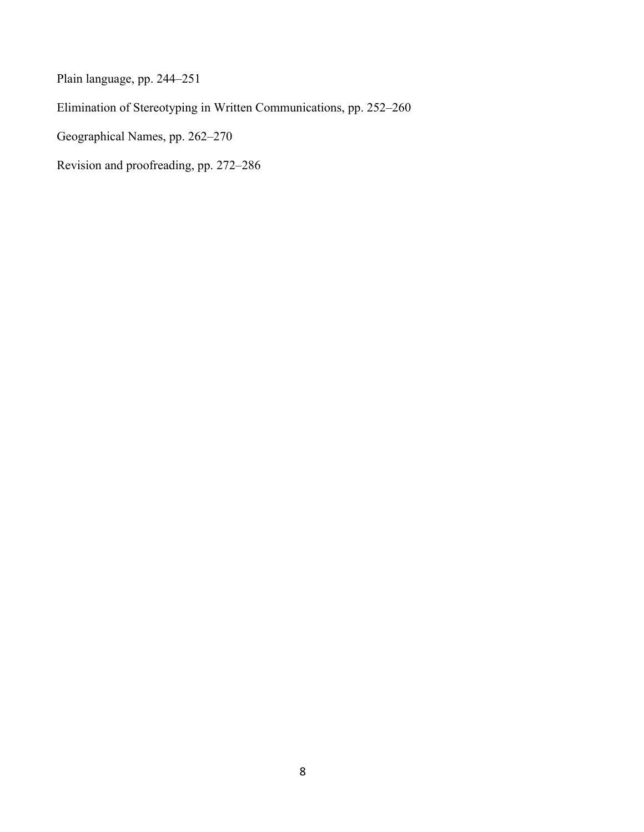Plain language, pp. 244–251 Elimination of Stereotyping in Written Communications, pp. 252–260 Geographical Names, pp. 262–270

Revision and proofreading, pp. 272–286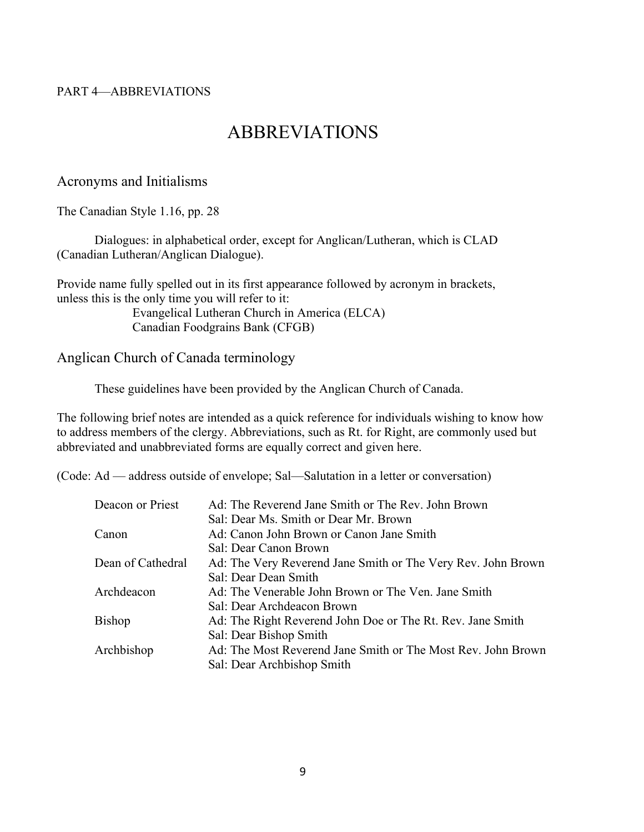#### PART 4—ABBREVIATIONS

# ABBREVIATIONS

#### Acronyms and Initialisms

The Canadian Style 1.16, pp. 28

Dialogues: in alphabetical order, except for Anglican/Lutheran, which is CLAD (Canadian Lutheran/Anglican Dialogue).

Provide name fully spelled out in its first appearance followed by acronym in brackets, unless this is the only time you will refer to it:

> Evangelical Lutheran Church in America (ELCA) Canadian Foodgrains Bank (CFGB)

#### Anglican Church of Canada terminology

These guidelines have been provided by the Anglican Church of Canada.

The following brief notes are intended as a quick reference for individuals wishing to know how to address members of the clergy. Abbreviations, such as Rt. for Right, are commonly used but abbreviated and unabbreviated forms are equally correct and given here.

(Code: Ad — address outside of envelope; Sal—Salutation in a letter or conversation)

| Deacon or Priest  | Ad: The Reverend Jane Smith or The Rev. John Brown           |
|-------------------|--------------------------------------------------------------|
|                   | Sal: Dear Ms. Smith or Dear Mr. Brown                        |
| Canon             | Ad: Canon John Brown or Canon Jane Smith                     |
|                   | Sal: Dear Canon Brown                                        |
| Dean of Cathedral | Ad: The Very Reverend Jane Smith or The Very Rev. John Brown |
|                   | Sal: Dear Dean Smith                                         |
| Archdeacon        | Ad: The Venerable John Brown or The Ven. Jane Smith          |
|                   | Sal: Dear Archdeacon Brown                                   |
| <b>Bishop</b>     | Ad: The Right Reverend John Doe or The Rt. Rev. Jane Smith   |
|                   | Sal: Dear Bishop Smith                                       |
| Archbishop        | Ad: The Most Reverend Jane Smith or The Most Rev. John Brown |
|                   | Sal: Dear Archbishop Smith                                   |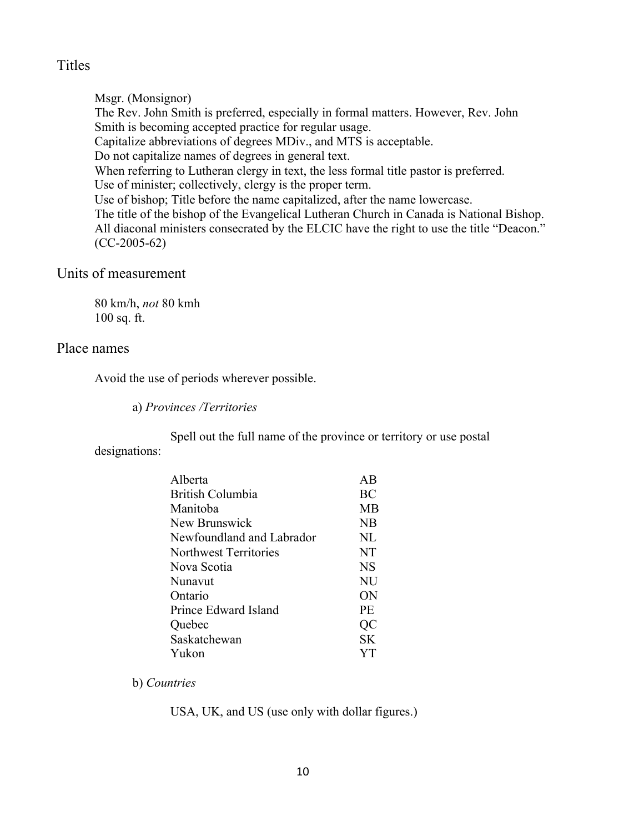#### Titles

Msgr. (Monsignor) The Rev. John Smith is preferred, especially in formal matters. However, Rev. John Smith is becoming accepted practice for regular usage. Capitalize abbreviations of degrees MDiv., and MTS is acceptable. Do not capitalize names of degrees in general text. When referring to Lutheran clergy in text, the less formal title pastor is preferred. Use of minister; collectively, clergy is the proper term. Use of bishop; Title before the name capitalized, after the name lowercase. The title of the bishop of the Evangelical Lutheran Church in Canada is National Bishop. All diaconal ministers consecrated by the ELCIC have the right to use the title "Deacon." (CC-2005-62)

### Units of measurement

80 km/h, *not* 80 kmh 100 sq. ft.

#### Place names

Avoid the use of periods wherever possible.

a) *Provinces /Territories*

Spell out the full name of the province or territory or use postal designations:

| Alberta                   | ΑR        |
|---------------------------|-----------|
| British Columbia          | BC        |
| Manitoba                  | MB        |
| New Brunswick             | NB        |
| Newfoundland and Labrador | NL        |
| Northwest Territories     | NT        |
| Nova Scotia               | <b>NS</b> |
| Nunavut                   | NU        |
| Ontario                   | ON        |
| Prince Edward Island      | PF.       |
| Quebec                    | QC        |
| Saskatchewan              | <b>SK</b> |
| Yukon                     | YТ        |
|                           |           |

b) *Countries*

USA, UK, and US (use only with dollar figures.)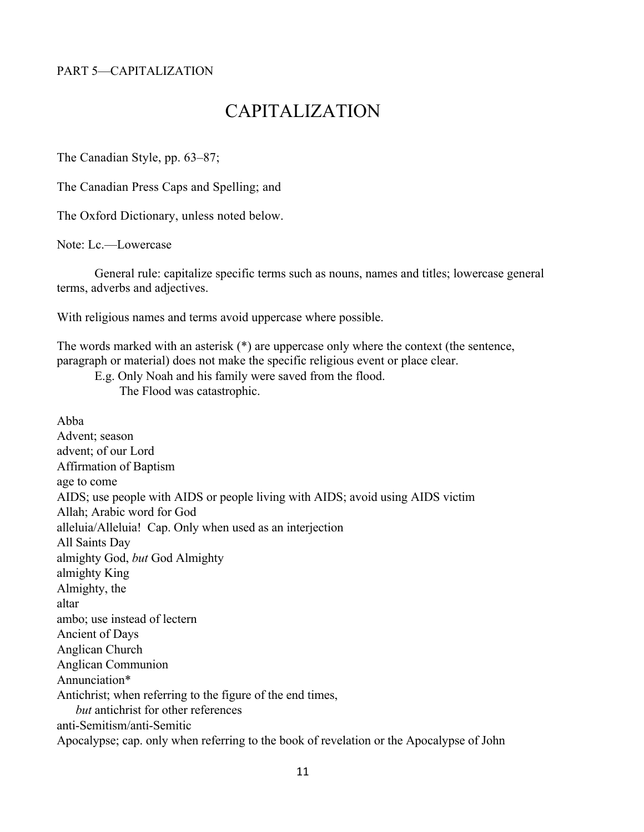#### PART 5—CAPITALIZATION

# CAPITALIZATION

The Canadian Style, pp. 63–87;

The Canadian Press Caps and Spelling; and

The Oxford Dictionary, unless noted below.

Note: Lc.—Lowercase

General rule: capitalize specific terms such as nouns, names and titles; lowercase general terms, adverbs and adjectives.

With religious names and terms avoid uppercase where possible.

The words marked with an asterisk (\*) are uppercase only where the context (the sentence, paragraph or material) does not make the specific religious event or place clear.

E.g. Only Noah and his family were saved from the flood.

The Flood was catastrophic.

Abba Advent; season advent; of our Lord Affirmation of Baptism age to come AIDS; use people with AIDS or people living with AIDS; avoid using AIDS victim Allah; Arabic word for God alleluia/Alleluia! Cap. Only when used as an interjection All Saints Day almighty God, *but* God Almighty almighty King Almighty, the altar ambo; use instead of lectern Ancient of Days Anglican Church Anglican Communion Annunciation\* Antichrist; when referring to the figure of the end times, *but* antichrist for other references anti-Semitism/anti-Semitic Apocalypse; cap. only when referring to the book of revelation or the Apocalypse of John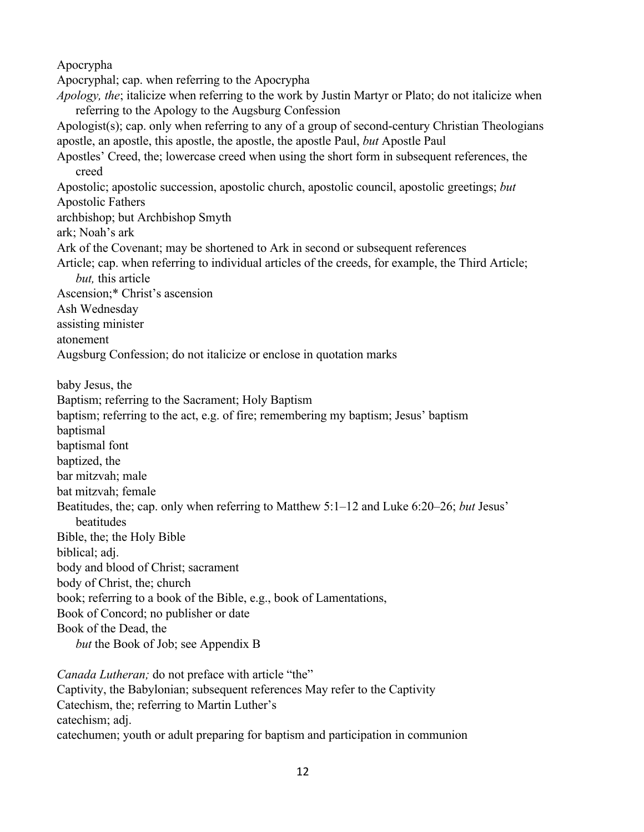Apocrypha Apocryphal; cap. when referring to the Apocrypha *Apology, the*; italicize when referring to the work by Justin Martyr or Plato; do not italicize when referring to the Apology to the Augsburg Confession Apologist(s); cap. only when referring to any of a group of second-century Christian Theologians apostle, an apostle, this apostle, the apostle, the apostle Paul, *but* Apostle Paul Apostles' Creed, the; lowercase creed when using the short form in subsequent references, the creed Apostolic; apostolic succession, apostolic church, apostolic council, apostolic greetings; *but* Apostolic Fathers archbishop; but Archbishop Smyth ark; Noah's ark Ark of the Covenant; may be shortened to Ark in second or subsequent references Article; cap. when referring to individual articles of the creeds, for example, the Third Article; *but,* this article Ascension;\* Christ's ascension Ash Wednesday assisting minister atonement Augsburg Confession; do not italicize or enclose in quotation marks baby Jesus, the Baptism; referring to the Sacrament; Holy Baptism baptism; referring to the act, e.g. of fire; remembering my baptism; Jesus' baptism baptismal baptismal font baptized, the bar mitzvah; male bat mitzvah; female Beatitudes, the; cap. only when referring to Matthew 5:1–12 and Luke 6:20–26; *but* Jesus' beatitudes Bible, the; the Holy Bible biblical; adj. body and blood of Christ; sacrament body of Christ, the; church book; referring to a book of the Bible, e.g., book of Lamentations, Book of Concord; no publisher or date Book of the Dead, the *but* the Book of Job; see Appendix B *Canada Lutheran;* do not preface with article "the"

Captivity, the Babylonian; subsequent references May refer to the Captivity Catechism, the; referring to Martin Luther's catechism; adj. catechumen; youth or adult preparing for baptism and participation in communion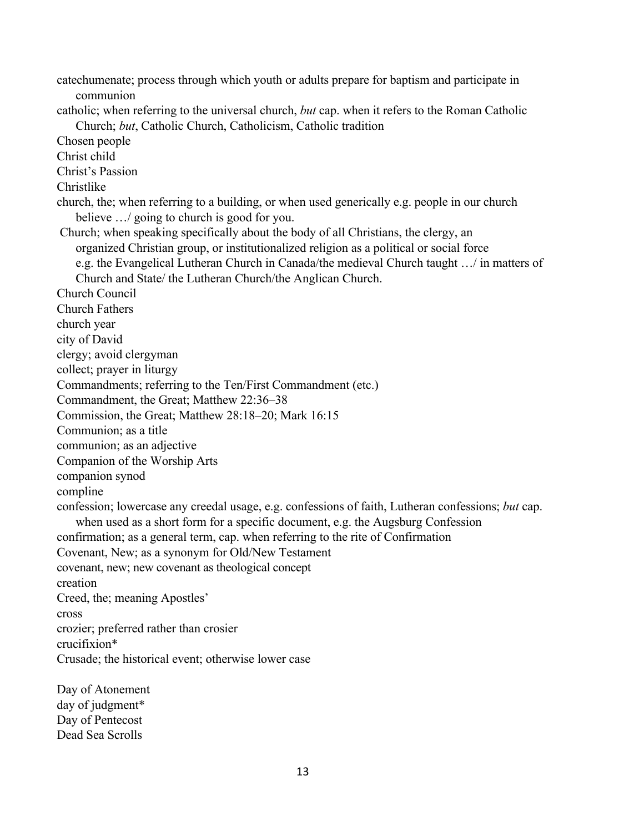catechumenate; process through which youth or adults prepare for baptism and participate in communion catholic; when referring to the universal church, *but* cap. when it refers to the Roman Catholic Church; *but*, Catholic Church, Catholicism, Catholic tradition Chosen people Christ child Christ's Passion Christlike church, the; when referring to a building, or when used generically e.g. people in our church believe .../ going to church is good for you. Church; when speaking specifically about the body of all Christians, the clergy, an organized Christian group, or institutionalized religion as a political or social force e.g. the Evangelical Lutheran Church in Canada/the medieval Church taught …/ in matters of Church and State/ the Lutheran Church/the Anglican Church. Church Council Church Fathers church year city of David clergy; avoid clergyman collect; prayer in liturgy Commandments; referring to the Ten/First Commandment (etc.) Commandment, the Great; Matthew 22:36–38 Commission, the Great; Matthew 28:18–20; Mark 16:15 Communion; as a title communion; as an adjective Companion of the Worship Arts companion synod compline confession; lowercase any creedal usage, e.g. confessions of faith, Lutheran confessions; *but* cap. when used as a short form for a specific document, e.g. the Augsburg Confession confirmation; as a general term, cap. when referring to the rite of Confirmation Covenant, New; as a synonym for Old/New Testament covenant, new; new covenant as theological concept creation Creed, the; meaning Apostles' cross crozier; preferred rather than crosier crucifixion\* Crusade; the historical event; otherwise lower case Day of Atonement

day of judgment\* Day of Pentecost Dead Sea Scrolls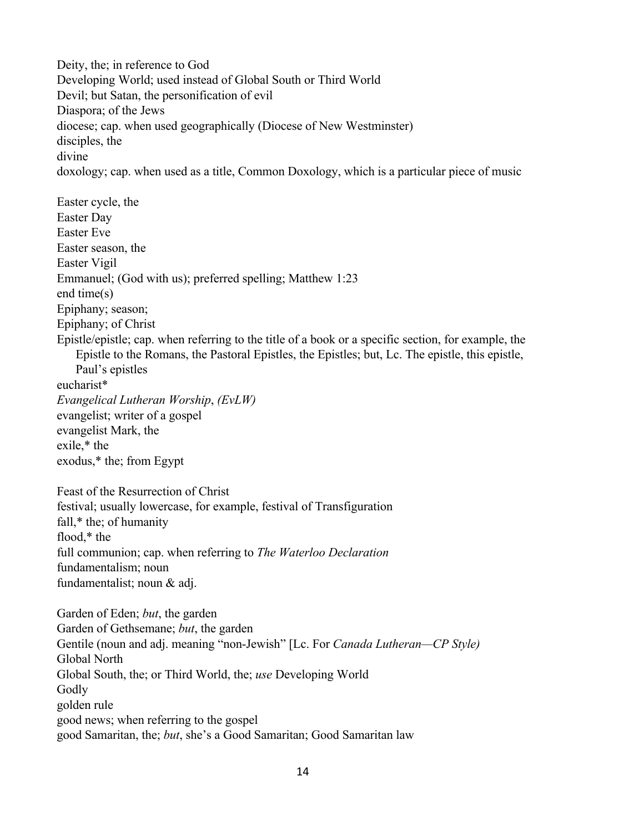Deity, the; in reference to God Developing World; used instead of Global South or Third World Devil; but Satan, the personification of evil Diaspora; of the Jews diocese; cap. when used geographically (Diocese of New Westminster) disciples, the divine doxology; cap. when used as a title, Common Doxology, which is a particular piece of music Easter cycle, the Easter Day Easter Eve Easter season, the Easter Vigil Emmanuel; (God with us); preferred spelling; Matthew 1:23 end time(s) Epiphany; season; Epiphany; of Christ Epistle/epistle; cap. when referring to the title of a book or a specific section, for example, the Epistle to the Romans, the Pastoral Epistles, the Epistles; but, Lc. The epistle, this epistle, Paul's epistles eucharist\* *Evangelical Lutheran Worship*, *(EvLW)* evangelist; writer of a gospel evangelist Mark, the exile,\* the exodus,\* the; from Egypt Feast of the Resurrection of Christ festival; usually lowercase, for example, festival of Transfiguration fall,\* the; of humanity flood,\* the full communion; cap. when referring to *The Waterloo Declaration* fundamentalism; noun fundamentalist; noun & adj. Garden of Eden; *but*, the garden Garden of Gethsemane; *but*, the garden Gentile (noun and adj. meaning "non-Jewish" [Lc. For *Canada Lutheran—CP Style)* Global North Global South, the; or Third World, the; *use* Developing World Godly golden rule good news; when referring to the gospel good Samaritan, the; *but*, she's a Good Samaritan; Good Samaritan law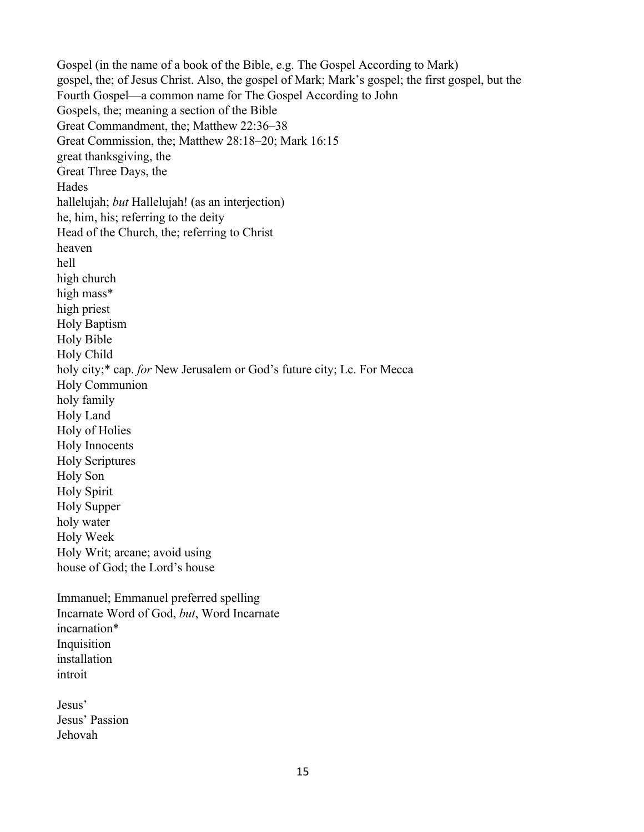Gospel (in the name of a book of the Bible, e.g. The Gospel According to Mark) gospel, the; of Jesus Christ. Also, the gospel of Mark; Mark's gospel; the first gospel, but the Fourth Gospel—a common name for The Gospel According to John Gospels, the; meaning a section of the Bible Great Commandment, the; Matthew 22:36–38 Great Commission, the; Matthew 28:18–20; Mark 16:15 great thanksgiving, the Great Three Days, the Hades hallelujah; *but* Hallelujah! (as an interjection) he, him, his; referring to the deity Head of the Church, the; referring to Christ heaven hell high church high mass\* high priest Holy Baptism Holy Bible Holy Child holy city;\* cap. *for* New Jerusalem or God's future city; Lc. For Mecca Holy Communion holy family Holy Land Holy of Holies Holy Innocents Holy Scriptures Holy Son Holy Spirit Holy Supper holy water Holy Week Holy Writ; arcane; avoid using house of God; the Lord's house Immanuel; Emmanuel preferred spelling Incarnate Word of God, *but*, Word Incarnate incarnation\* Inquisition installation introit Jesus' Jesus' Passion Jehovah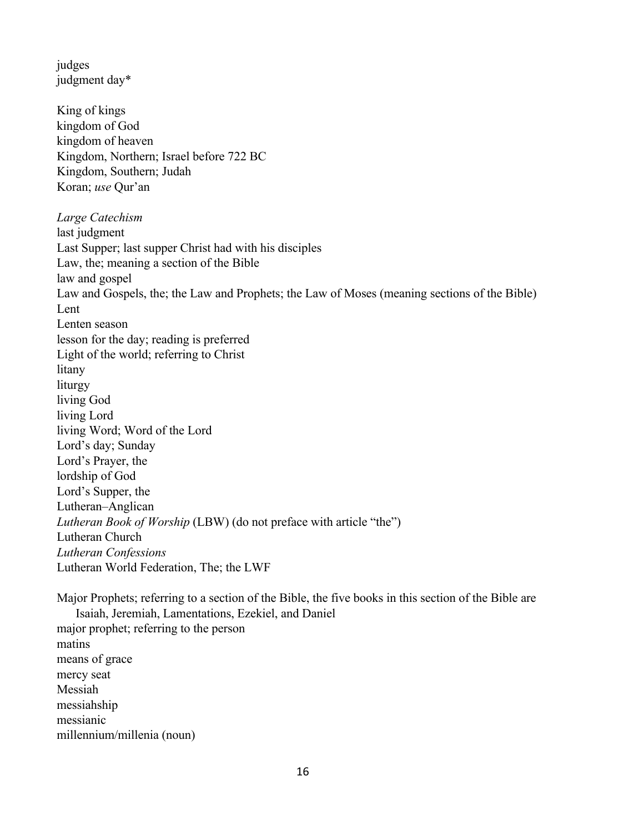judges judgment day\*

King of kings kingdom of God kingdom of heaven Kingdom, Northern; Israel before 722 BC Kingdom, Southern; Judah Koran; *use* Qur'an *Large Catechism*  last judgment Last Supper; last supper Christ had with his disciples Law, the; meaning a section of the Bible law and gospel Law and Gospels, the; the Law and Prophets; the Law of Moses (meaning sections of the Bible) Lent Lenten season lesson for the day; reading is preferred Light of the world; referring to Christ litany liturgy living God living Lord living Word; Word of the Lord Lord's day; Sunday Lord's Prayer, the lordship of God Lord's Supper, the Lutheran–Anglican *Lutheran Book of Worship* (LBW) (do not preface with article "the") Lutheran Church *Lutheran Confessions*  Lutheran World Federation, The; the LWF

Major Prophets; referring to a section of the Bible, the five books in this section of the Bible are Isaiah, Jeremiah, Lamentations, Ezekiel, and Daniel major prophet; referring to the person matins means of grace mercy seat Messiah messiahship messianic millennium/millenia (noun)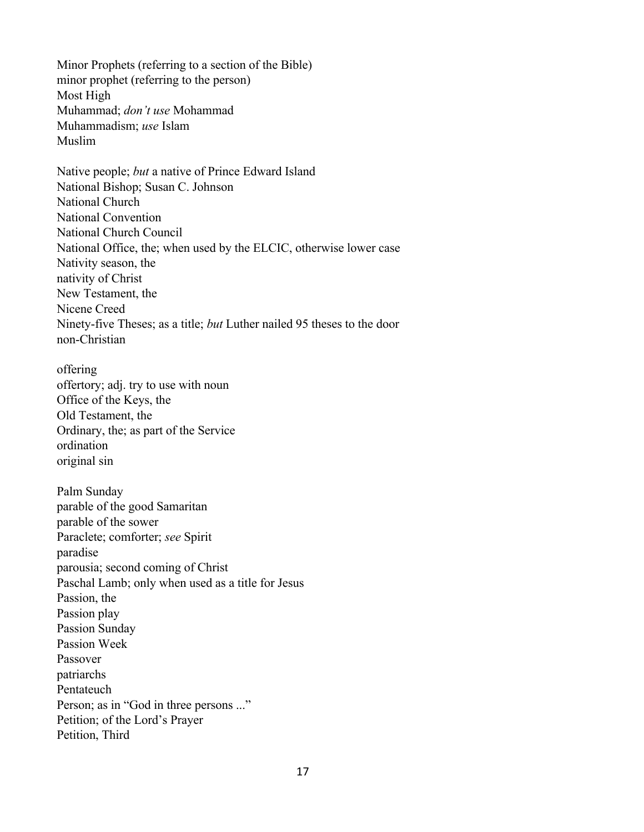Minor Prophets (referring to a section of the Bible) minor prophet (referring to the person) Most High Muhammad; *don't use* Mohammad Muhammadism; *use* Islam Muslim

Native people; *but* a native of Prince Edward Island National Bishop; Susan C. Johnson National Church National Convention National Church Council National Office, the; when used by the ELCIC, otherwise lower case Nativity season, the nativity of Christ New Testament, the Nicene Creed Ninety-five Theses; as a title; *but* Luther nailed 95 theses to the door non-Christian

offering offertory; adj. try to use with noun Office of the Keys, the Old Testament, the Ordinary, the; as part of the Service ordination original sin

Palm Sunday parable of the good Samaritan parable of the sower Paraclete; comforter; *see* Spirit paradise parousia; second coming of Christ Paschal Lamb; only when used as a title for Jesus Passion, the Passion play Passion Sunday Passion Week Passover patriarchs Pentateuch Person; as in "God in three persons ..." Petition; of the Lord's Prayer Petition, Third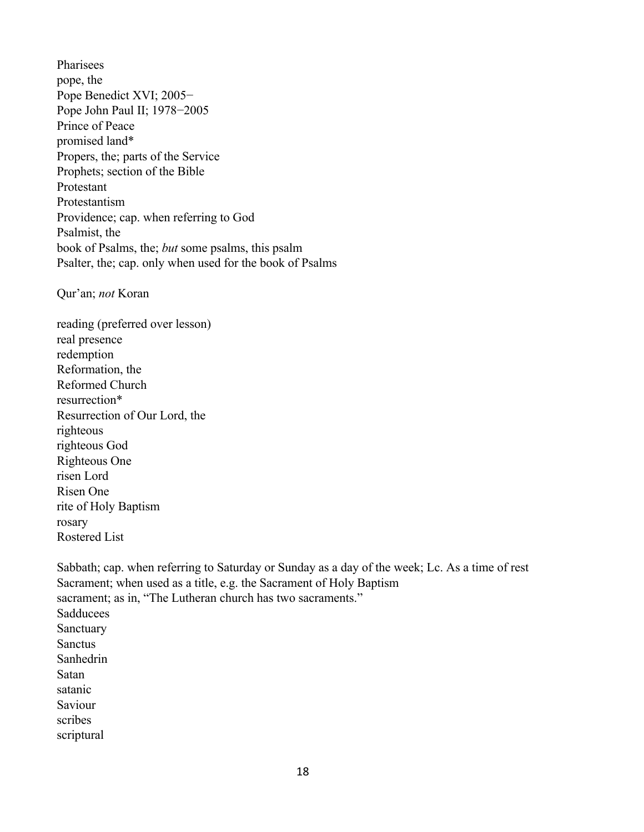Pharisees pope, the Pope Benedict XVI; 2005− Pope John Paul II; 1978−2005 Prince of Peace promised land\* Propers, the; parts of the Service Prophets; section of the Bible Protestant Protestantism Providence; cap. when referring to God Psalmist, the book of Psalms, the; *but* some psalms, this psalm Psalter, the; cap. only when used for the book of Psalms

Qur'an; *not* Koran

reading (preferred over lesson) real presence redemption Reformation, the Reformed Church resurrection\* Resurrection of Our Lord, the righteous righteous God Righteous One risen Lord Risen One rite of Holy Baptism rosary Rostered List

Sabbath; cap. when referring to Saturday or Sunday as a day of the week; Lc. As a time of rest Sacrament; when used as a title, e.g. the Sacrament of Holy Baptism sacrament; as in, "The Lutheran church has two sacraments." Sadducees Sanctuary **Sanctus** Sanhedrin Satan satanic Saviour scribes scriptural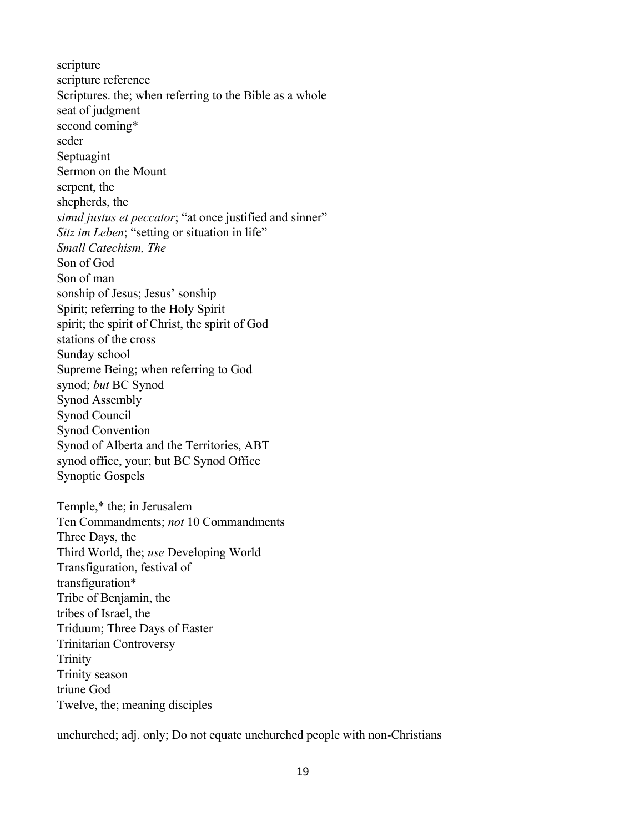scripture scripture reference Scriptures. the; when referring to the Bible as a whole seat of judgment second coming\* seder Septuagint Sermon on the Mount serpent, the shepherds, the *simul justus et peccator*; "at once justified and sinner" *Sitz im Leben*; "setting or situation in life" *Small Catechism, The* Son of God Son of man sonship of Jesus; Jesus' sonship Spirit; referring to the Holy Spirit spirit; the spirit of Christ, the spirit of God stations of the cross Sunday school Supreme Being; when referring to God synod; *but* BC Synod Synod Assembly Synod Council Synod Convention Synod of Alberta and the Territories, ABT synod office, your; but BC Synod Office Synoptic Gospels Temple,\* the; in Jerusalem Ten Commandments; *not* 10 Commandments Three Days, the Third World, the; *use* Developing World

Transfiguration, festival of transfiguration\* Tribe of Benjamin, the tribes of Israel, the Triduum; Three Days of Easter Trinitarian Controversy Trinity Trinity season triune God Twelve, the; meaning disciples

unchurched; adj. only; Do not equate unchurched people with non-Christians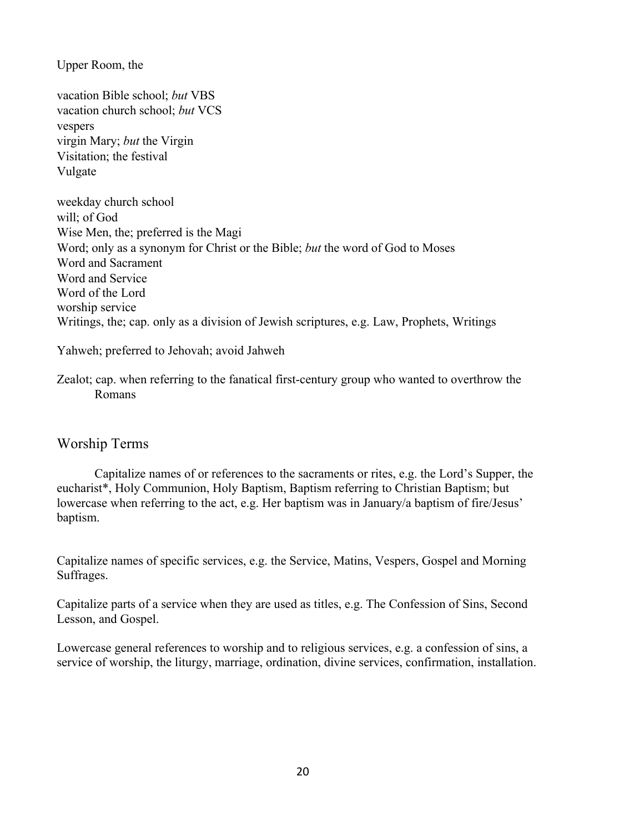Upper Room, the

vacation Bible school; *but* VBS vacation church school; *but* VCS vespers virgin Mary; *but* the Virgin Visitation; the festival Vulgate

weekday church school will; of God Wise Men, the; preferred is the Magi Word; only as a synonym for Christ or the Bible; *but* the word of God to Moses Word and Sacrament Word and Service Word of the Lord worship service Writings, the; cap. only as a division of Jewish scriptures, e.g. Law, Prophets, Writings

Yahweh; preferred to Jehovah; avoid Jahweh

Zealot; cap. when referring to the fanatical first-century group who wanted to overthrow the Romans

#### Worship Terms

Capitalize names of or references to the sacraments or rites, e.g. the Lord's Supper, the eucharist\*, Holy Communion, Holy Baptism, Baptism referring to Christian Baptism; but lowercase when referring to the act, e.g. Her baptism was in January/a baptism of fire/Jesus' baptism.

Capitalize names of specific services, e.g. the Service, Matins, Vespers, Gospel and Morning Suffrages.

Capitalize parts of a service when they are used as titles, e.g. The Confession of Sins, Second Lesson, and Gospel.

Lowercase general references to worship and to religious services, e.g. a confession of sins, a service of worship, the liturgy, marriage, ordination, divine services, confirmation, installation.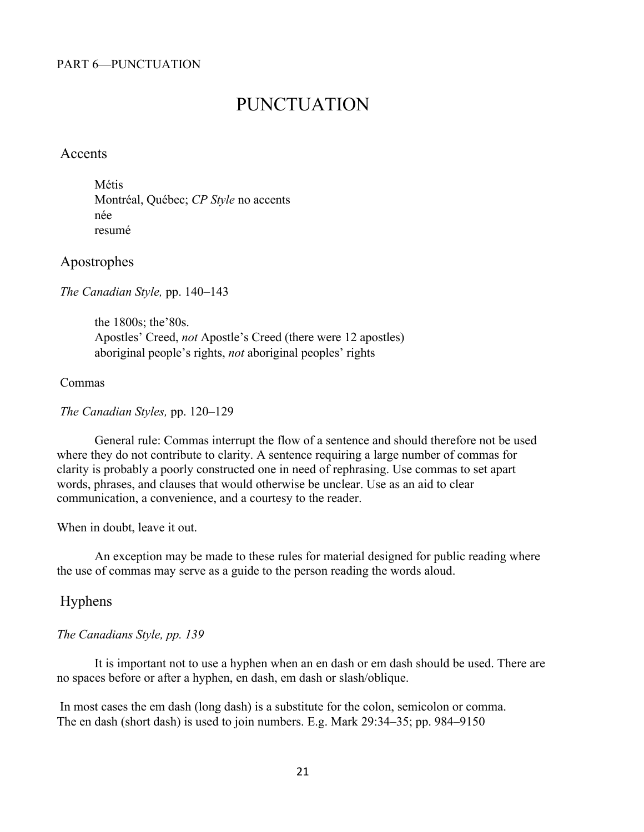#### PART 6—PUNCTUATION

# PUNCTUATION

#### Accents

Métis Montréal, Québec; *CP Style* no accents née resumé

#### Apostrophes

*The Canadian Style,* pp. 140–143

the 1800s; the'80s. Apostles' Creed, *not* Apostle's Creed (there were 12 apostles) aboriginal people's rights, *not* aboriginal peoples' rights

#### Commas

*The Canadian Styles,* pp. 120–129

General rule: Commas interrupt the flow of a sentence and should therefore not be used where they do not contribute to clarity. A sentence requiring a large number of commas for clarity is probably a poorly constructed one in need of rephrasing. Use commas to set apart words, phrases, and clauses that would otherwise be unclear. Use as an aid to clear communication, a convenience, and a courtesy to the reader.

When in doubt, leave it out.

An exception may be made to these rules for material designed for public reading where the use of commas may serve as a guide to the person reading the words aloud.

#### Hyphens

#### *The Canadians Style, pp. 139*

It is important not to use a hyphen when an en dash or em dash should be used. There are no spaces before or after a hyphen, en dash, em dash or slash/oblique.

In most cases the em dash (long dash) is a substitute for the colon, semicolon or comma. The en dash (short dash) is used to join numbers. E.g. Mark 29:34–35; pp. 984–9150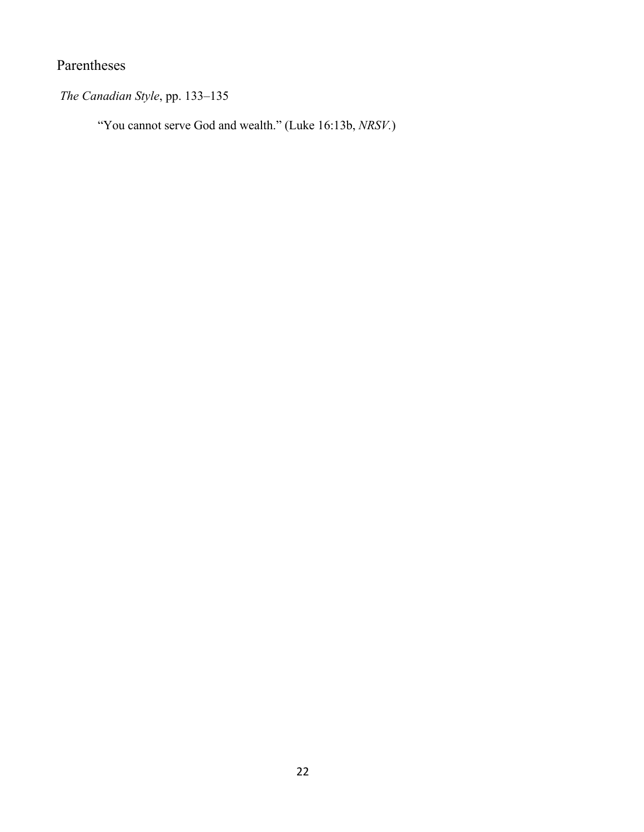# Parentheses

*The Canadian Style*, pp. 133–135

"You cannot serve God and wealth." (Luke 16:13b, *NRSV.*)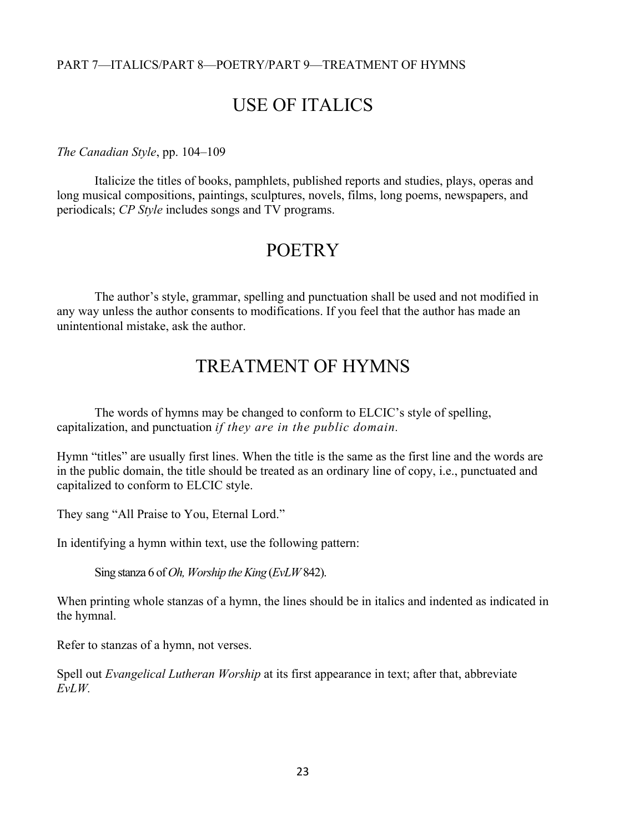#### PART 7—ITALICS/PART 8—POETRY/PART 9—TREATMENT OF HYMNS

# USE OF ITALICS

#### *The Canadian Style*, pp. 104–109

Italicize the titles of books, pamphlets, published reports and studies, plays, operas and long musical compositions, paintings, sculptures, novels, films, long poems, newspapers, and periodicals; *CP Style* includes songs and TV programs.

### **POETRY**

The author's style, grammar, spelling and punctuation shall be used and not modified in any way unless the author consents to modifications. If you feel that the author has made an unintentional mistake, ask the author.

# TREATMENT OF HYMNS

The words of hymns may be changed to conform to ELCIC's style of spelling, capitalization, and punctuation *if they are in the public domain.*

Hymn "titles" are usually first lines. When the title is the same as the first line and the words are in the public domain, the title should be treated as an ordinary line of copy, i.e., punctuated and capitalized to conform to ELCIC style.

They sang "All Praise to You, Eternal Lord."

In identifying a hymn within text, use the following pattern:

Sing stanza 6 of *Oh, Worship the King* (*EvLW* 842).

When printing whole stanzas of a hymn, the lines should be in italics and indented as indicated in the hymnal.

Refer to stanzas of a hymn, not verses.

Spell out *Evangelical Lutheran Worship* at its first appearance in text; after that, abbreviate *EvLW.*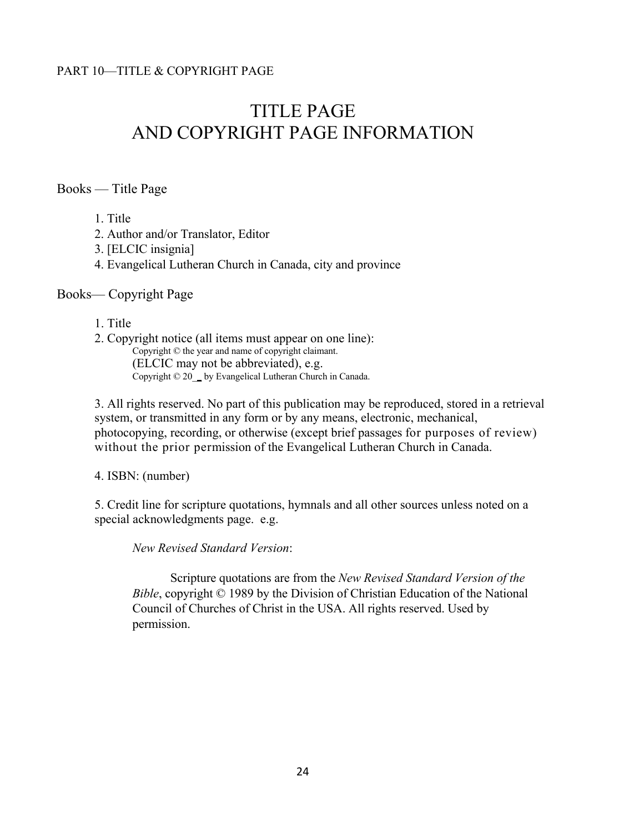# TITLE PAGE AND COPYRIGHT PAGE INFORMATION

Books — Title Page

1. Title

2. Author and/or Translator, Editor

3. [ELCIC insignia]

4. Evangelical Lutheran Church in Canada, city and province

#### Books— Copyright Page

#### 1. Title

2. Copyright notice (all items must appear on one line): Copyright © the year and name of copyright claimant. (ELCIC may not be abbreviated), e.g. Copyright © 20\_\_ by Evangelical Lutheran Church in Canada.

3. All rights reserved. No part of this publication may be reproduced, stored in a retrieval system, or transmitted in any form or by any means, electronic, mechanical, photocopying, recording, or otherwise (except brief passages for purposes of review) without the prior permission of the Evangelical Lutheran Church in Canada.

4. ISBN: (number)

5. Credit line for scripture quotations, hymnals and all other sources unless noted on a special acknowledgments page. e.g.

*New Revised Standard Version*:

Scripture quotations are from the *New Revised Standard Version of the Bible*, copyright © 1989 by the Division of Christian Education of the National Council of Churches of Christ in the USA. All rights reserved. Used by permission.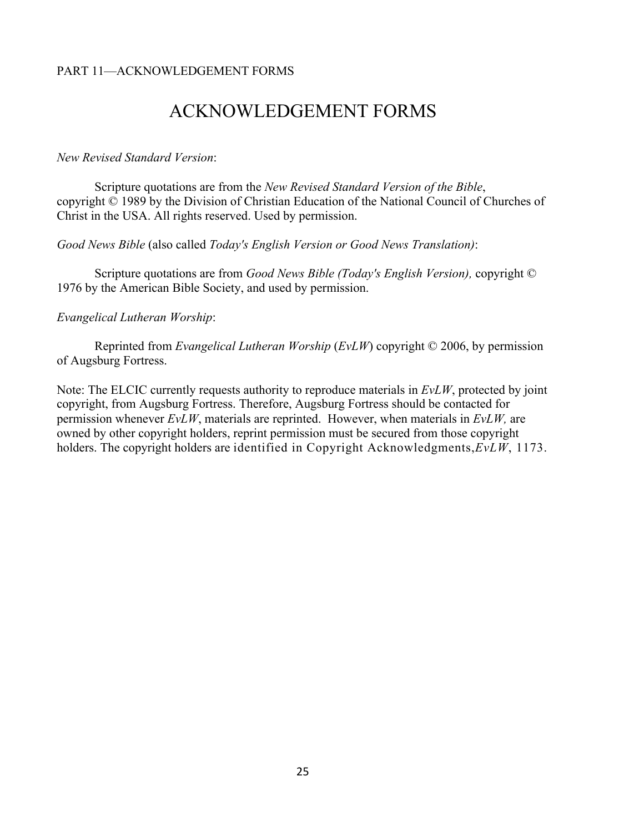#### PART 11—ACKNOWLEDGEMENT FORMS

# ACKNOWLEDGEMENT FORMS

#### *New Revised Standard Version*:

Scripture quotations are from the *New Revised Standard Version of the Bible*, copyright © 1989 by the Division of Christian Education of the National Council of Churches of Christ in the USA. All rights reserved. Used by permission.

*Good News Bible* (also called *Today's English Version or Good News Translation)*:

Scripture quotations are from *Good News Bible (Today's English Version),* copyright © 1976 by the American Bible Society, and used by permission.

#### *Evangelical Lutheran Worship*:

Reprinted from *Evangelical Lutheran Worship* (*EvLW*) copyright © 2006, by permission of Augsburg Fortress.

Note: The ELCIC currently requests authority to reproduce materials in *EvLW*, protected by joint copyright, from Augsburg Fortress. Therefore, Augsburg Fortress should be contacted for permission whenever *EvLW*, materials are reprinted. However, when materials in *EvLW,* are owned by other copyright holders, reprint permission must be secured from those copyright holders. The copyright holders are identified in Copyright Acknowledgments,*EvLW*, 1173.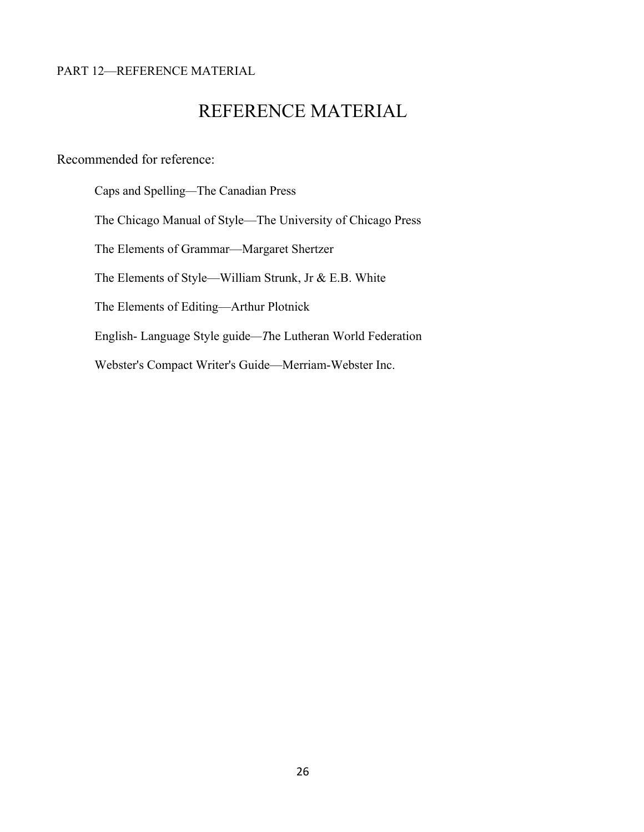#### PART 12—REFERENCE MATERIAL

# REFERENCE MATERIAL

Recommended for reference:

Caps and Spelling*—*The Canadian Press The Chicago Manual of Style—The University of Chicago Press The Elements of Grammar—Margaret Shertzer The Elements of Style—William Strunk, Jr & E.B. White The Elements of Editing—Arthur Plotnick English- Language Style guide*—T*he Lutheran World Federation Webster's Compact Writer's Guide—Merriam-Webster Inc.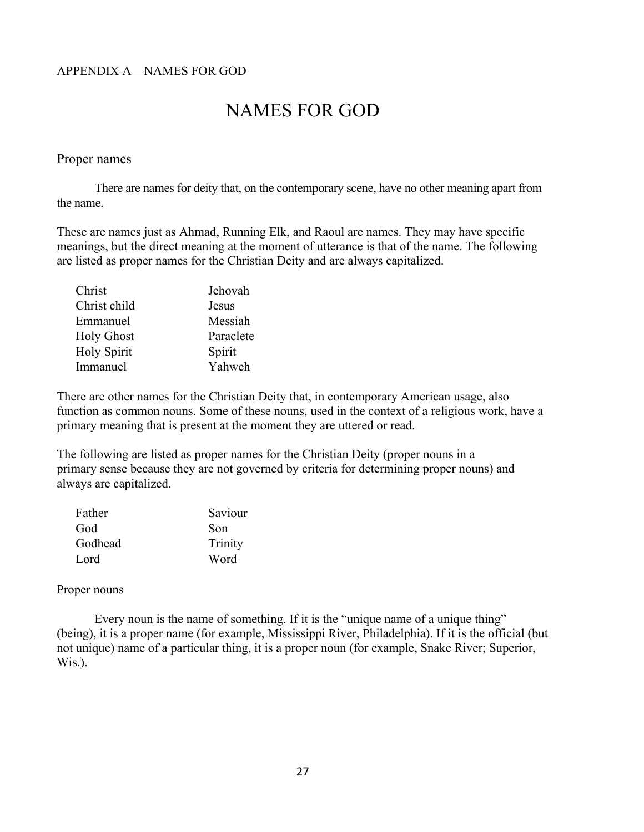# NAMES FOR GOD

#### Proper names

There are names for deity that, on the contemporary scene, have no other meaning apart from the name.

These are names just as Ahmad, Running Elk, and Raoul are names. They may have specific meanings, but the direct meaning at the moment of utterance is that of the name. The following are listed as proper names for the Christian Deity and are always capitalized.

| Jehovah   |
|-----------|
| Jesus     |
| Messiah   |
| Paraclete |
| Spirit    |
| Yahweh    |
|           |

There are other names for the Christian Deity that, in contemporary American usage, also function as common nouns. Some of these nouns, used in the context of a religious work, have a primary meaning that is present at the moment they are uttered or read.

The following are listed as proper names for the Christian Deity (proper nouns in a primary sense because they are not governed by criteria for determining proper nouns) and always are capitalized.

| Father  | Saviour |
|---------|---------|
| God     | Son     |
| Godhead | Trinity |
| Lord    | Word    |

#### Proper nouns

Every noun is the name of something. If it is the "unique name of a unique thing" (being), it is a proper name (for example, Mississippi River, Philadelphia). If it is the official (but not unique) name of a particular thing, it is a proper noun (for example, Snake River; Superior, Wis.).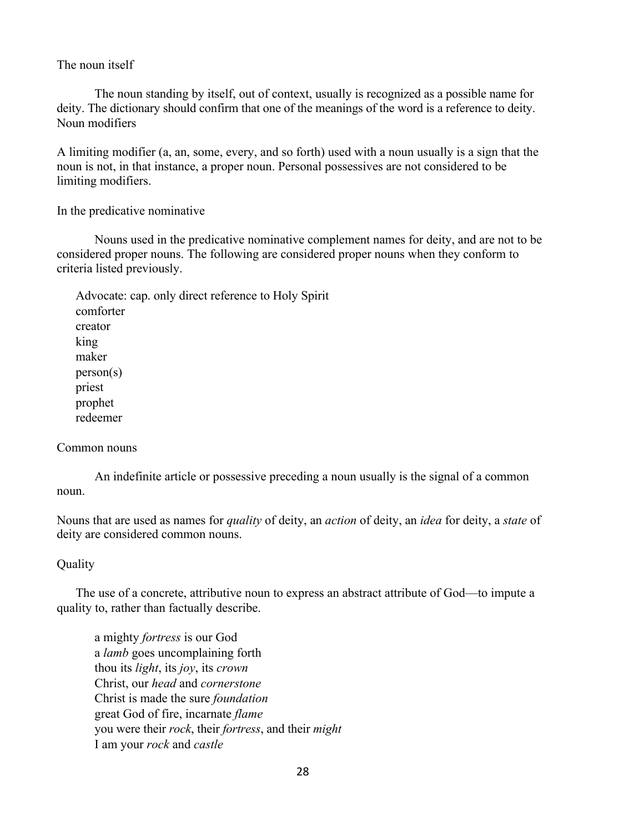#### The noun itself

The noun standing by itself, out of context, usually is recognized as a possible name for deity. The dictionary should confirm that one of the meanings of the word is a reference to deity. Noun modifiers

A limiting modifier (a, an, some, every, and so forth) used with a noun usually is a sign that the noun is not, in that instance, a proper noun. Personal possessives are not considered to be limiting modifiers.

#### In the predicative nominative

Nouns used in the predicative nominative complement names for deity, and are not to be considered proper nouns. The following are considered proper nouns when they conform to criteria listed previously.

Advocate: cap. only direct reference to Holy Spirit comforter creator king maker person(s) priest prophet redeemer

#### Common nouns

An indefinite article or possessive preceding a noun usually is the signal of a common noun.

Nouns that are used as names for *quality* of deity, an *action* of deity, an *idea* for deity, a *state* of deity are considered common nouns.

#### **Ouality**

The use of a concrete, attributive noun to express an abstract attribute of God—to impute a quality to, rather than factually describe.

a mighty *fortress* is our God a *lamb* goes uncomplaining forth thou its *light*, its *joy*, its *crown* Christ, our *head* and *cornerstone* Christ is made the sure *foundation* great God of fire, incarnate *flame* you were their *rock*, their *fortress*, and their *might* I am your *rock* and *castle*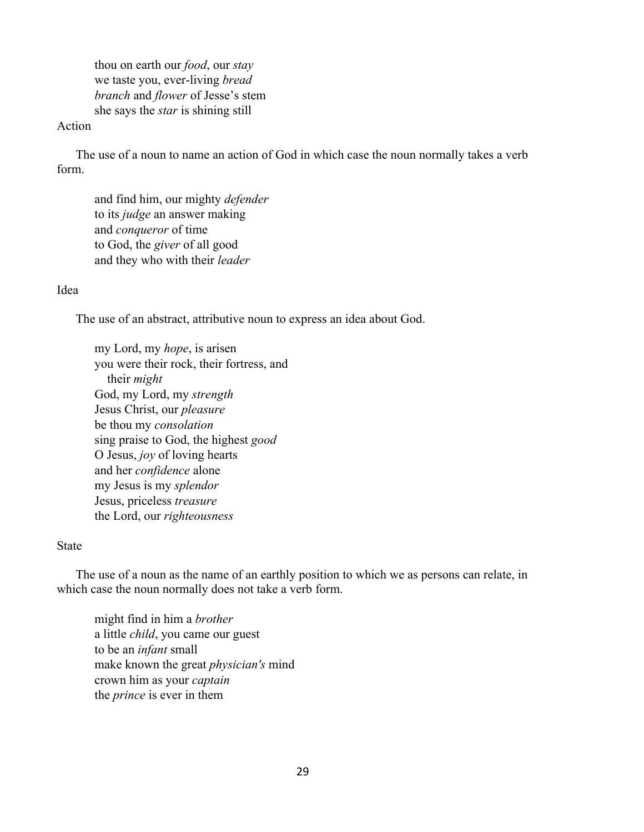thou on earth our *food*, our *stay*  we taste you, ever-living *bread branch* and *flower* of Jesse's stem she says the *star* is shining still

#### Action

The use of a noun to name an action of God in which case the noun normally takes a verb form.

and find him, our mighty *defender*  to its *judge* an answer making and *conqueror* of time to God, the *giver* of all good and they who with their *leader*

#### Idea

The use of an abstract, attributive noun to express an idea about God.

my Lord, my *hope*, is arisen you were their rock, their fortress, and their *might* God, my Lord, my *strength*  Jesus Christ, our *pleasure*  be thou my *consolation*  sing praise to God, the highest *good*  O Jesus, *joy* of loving hearts and her *confidence* alone my Jesus is my *splendor* Jesus, priceless *treasure*  the Lord, our *righteousness*

#### State

The use of a noun as the name of an earthly position to which we as persons can relate, in which case the noun normally does not take a verb form.

might find in him a *brother*  a little *child*, you came our guest to be an *infant* small make known the great *physician's* mind crown him as your *captain*  the *prince* is ever in them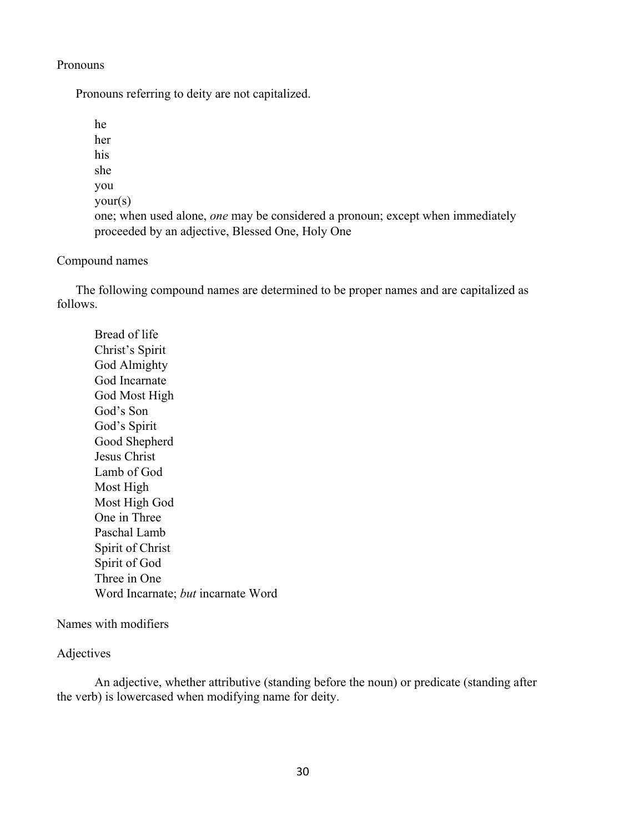#### Pronouns

Pronouns referring to deity are not capitalized.

```
he 
her 
his 
she 
you 
your(s) 
one; when used alone, one may be considered a pronoun; except when immediately 
proceeded by an adjective, Blessed One, Holy One
```
#### Compound names

The following compound names are determined to be proper names and are capitalized as follows.

Bread of life Christ's Spirit God Almighty God Incarnate God Most High God's Son God's Spirit Good Shepherd Jesus Christ Lamb of God Most High Most High God One in Three Paschal Lamb Spirit of Christ Spirit of God Three in One Word Incarnate; *but* incarnate Word

#### Names with modifiers

#### Adjectives

An adjective, whether attributive (standing before the noun) or predicate (standing after the verb) is lowercased when modifying name for deity.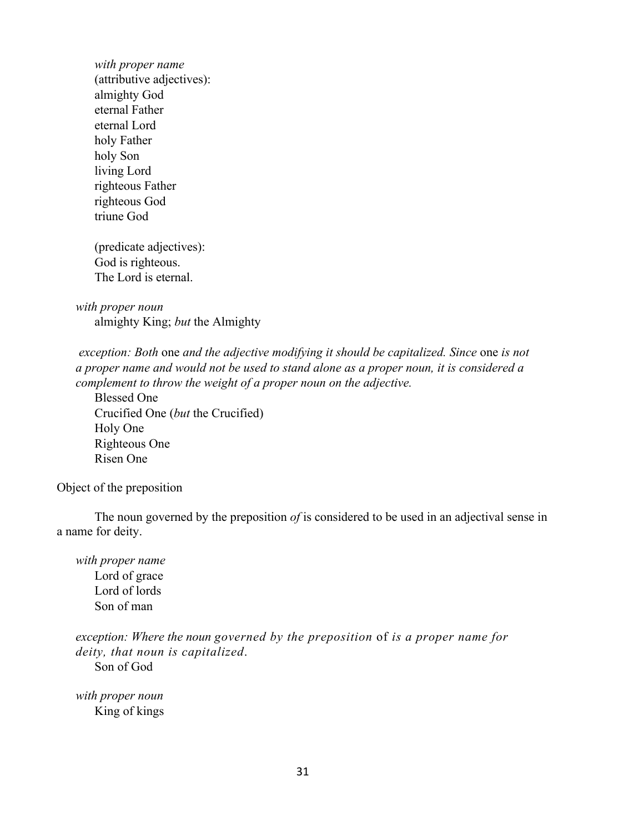*with proper name* (attributive adjectives): almighty God eternal Father eternal Lord holy Father holy Son living Lord righteous Father righteous God triune God

(predicate adjectives): God is righteous. The Lord is eternal.

*with proper noun* almighty King; *but* the Almighty

*exception: Both one and the adjective modifying it should be capitalized. Since one is not a proper name and would not be used to stand alone as a proper noun, it is considered a complement to throw the weight of a proper noun on the adjective.*

Blessed One Crucified One (*but* the Crucified) Holy One Righteous One Risen One

Object of the preposition

The noun governed by the preposition *of* is considered to be used in an adjectival sense in a name for deity.

*with proper name*  Lord of grace Lord of lords Son of man

*exception: Where the noun governed by the preposition* of *is a proper name for deity, that noun is capitalized*.

Son of God

*with proper noun* King of kings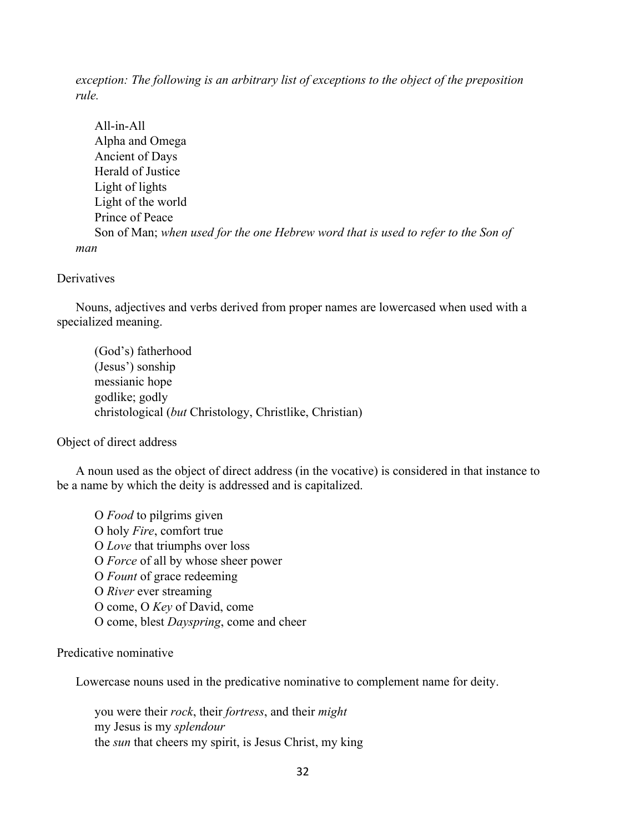*exception: The following is an arbitrary list of exceptions to the object of the preposition rule.*

All-in-All Alpha and Omega Ancient of Days Herald of Justice Light of lights Light of the world Prince of Peace Son of Man; *when used for the one Hebrew word that is used to refer to the Son of man*

#### **Derivatives**

Nouns, adjectives and verbs derived from proper names are lowercased when used with a specialized meaning.

(God's) fatherhood (Jesus') sonship messianic hope godlike; godly christological (*but* Christology, Christlike, Christian)

Object of direct address

A noun used as the object of direct address (in the vocative) is considered in that instance to be a name by which the deity is addressed and is capitalized.

O *Food* to pilgrims given O holy *Fire*, comfort true O *Love* that triumphs over loss O *Force* of all by whose sheer power O *Fount* of grace redeeming O *River* ever streaming O come, O *Key* of David, come O come, blest *Dayspring*, come and cheer

#### Predicative nominative

Lowercase nouns used in the predicative nominative to complement name for deity.

you were their *rock*, their *fortress*, and their *might* my Jesus is my *splendour*  the *sun* that cheers my spirit, is Jesus Christ, my king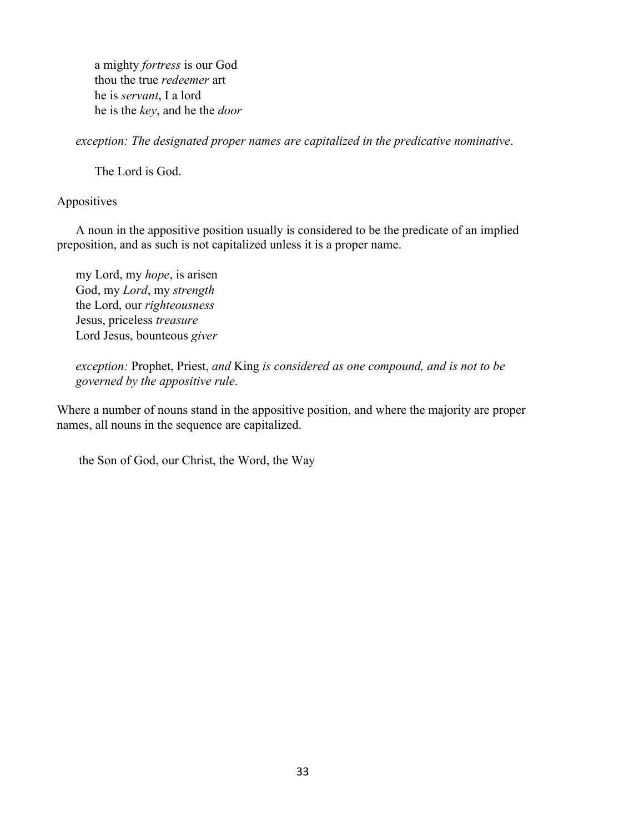a mighty *fortress* is our God thou the true *redeemer* art he is *servant*, I a lord he is the *key*, and he the *door* 

*exception: The designated proper names are capitalized in the predicative nominative*.

The Lord is God.

#### Appositives

A noun in the appositive position usually is considered to be the predicate of an implied preposition, and as such is not capitalized unless it is a proper name.

my Lord, my *hope*, is arisen God, my *Lord*, my *strength* the Lord, our *righteousness*  Jesus, priceless *treasure*  Lord Jesus, bounteous *giver* 

*exception:* Prophet, Priest, *and* King *is considered as one compound, and is not to be governed by the appositive rule*.

Where a number of nouns stand in the appositive position, and where the majority are proper names, all nouns in the sequence are capitalized.

the Son of God, our Christ, the Word, the Way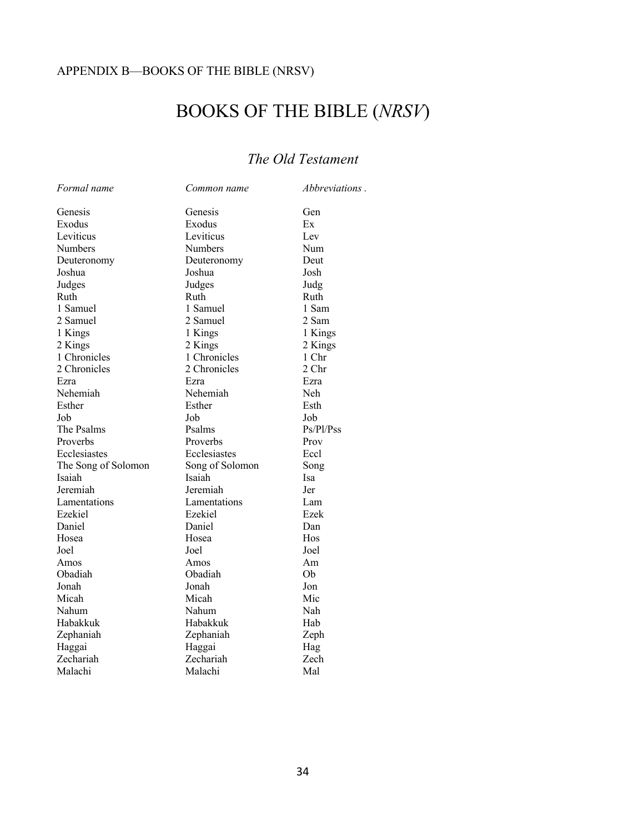### APPENDIX B—BOOKS OF THE BIBLE (NRSV)

# BOOKS OF THE BIBLE (*NRSV*)

### *The Old Testament*

| Formal name         | Common name     | Abbreviations. |
|---------------------|-----------------|----------------|
| Genesis             | Genesis         | Gen            |
| Exodus              | Exodus          | Ex             |
| Leviticus           | Leviticus       | Lev            |
| Numbers             | Numbers         | Num            |
| Deuteronomy         | Deuteronomy     | Deut           |
| Joshua              | Joshua          | Josh           |
| Judges              | Judges          | Judg           |
| Ruth                | Ruth            | Ruth           |
| 1 Samuel            | 1 Samuel        | 1 Sam          |
| 2 Samuel            | 2 Samuel        | 2 Sam          |
| 1 Kings             | 1 Kings         | 1 Kings        |
| 2 Kings             | 2 Kings         | 2 Kings        |
| 1 Chronicles        | 1 Chronicles    | 1 Chr          |
| 2 Chronicles        | 2 Chronicles    | 2 Chr          |
| Ezra                | Ezra            | Ezra           |
| Nehemiah            | Nehemiah        | Neh            |
| Esther              | Esther          | Esth           |
| Job                 | Job             | Job            |
| The Psalms          | Psalms          | Ps/Pl/Pss      |
| Proverbs            | Proverbs        | Prov           |
| Ecclesiastes        | Ecclesiastes    | Eccl           |
| The Song of Solomon | Song of Solomon | Song           |
| Isaiah              | Isaiah          | Isa            |
| Jeremiah            | Jeremiah        | Jer            |
| Lamentations        | Lamentations    | Lam            |
| Ezekiel             | Ezekiel         | Ezek           |
| Daniel              | Daniel          | Dan            |
| Hosea               | Hosea           | Hos            |
| Joel                | Joel            | Joel           |
| Amos                | Amos            | Am             |
| Obadiah             | Obadiah         | Ob             |
| Jonah               | Jonah           | Jon            |
| Micah               | Micah           | Mic            |
| Nahum               | Nahum           | Nah            |
| Habakkuk            | Habakkuk        | Hab            |
| Zephaniah           | Zephaniah       | Zeph           |
| Haggai              | Haggai          | Hag            |
| Zechariah           | Zechariah       | Zech           |
| Malachi             | Malachi         | Mal            |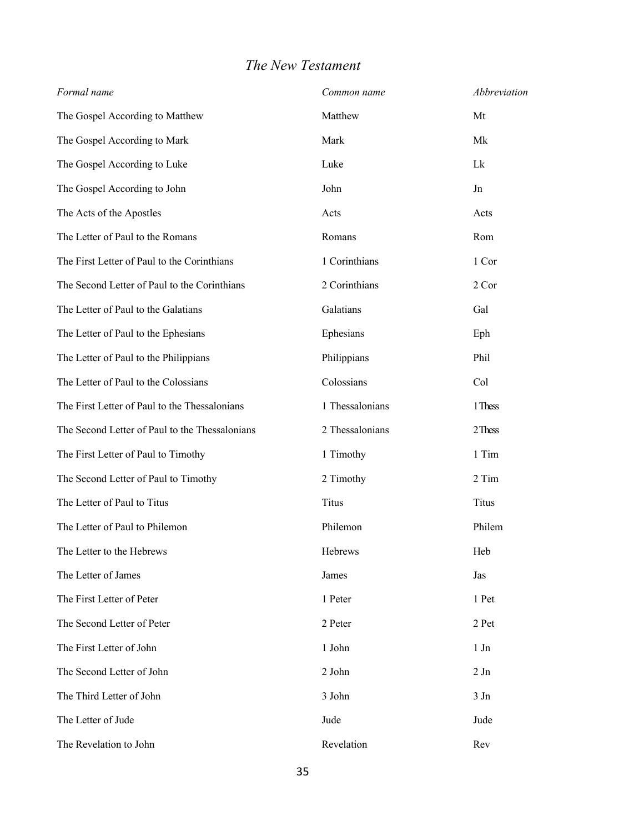### *The New Testament*

| Formal name                                    | Common name     | Abbreviation |
|------------------------------------------------|-----------------|--------------|
| The Gospel According to Matthew                | Matthew         | Mt           |
| The Gospel According to Mark                   | Mark            | Mk           |
| The Gospel According to Luke                   | Luke            | Lk           |
| The Gospel According to John                   | John            | Jn           |
| The Acts of the Apostles                       | Acts            | Acts         |
| The Letter of Paul to the Romans               | Romans          | Rom          |
| The First Letter of Paul to the Corinthians    | 1 Corinthians   | 1 Cor        |
| The Second Letter of Paul to the Corinthians   | 2 Corinthians   | 2 Cor        |
| The Letter of Paul to the Galatians            | Galatians       | Gal          |
| The Letter of Paul to the Ephesians            | Ephesians       | Eph          |
| The Letter of Paul to the Philippians          | Philippians     | Phil         |
| The Letter of Paul to the Colossians           | Colossians      | Col          |
| The First Letter of Paul to the Thessalonians  | 1 Thessalonians | 1 Thess      |
| The Second Letter of Paul to the Thessalonians | 2 Thessalonians | 2 Thess      |
| The First Letter of Paul to Timothy            | 1 Timothy       | 1 Tim        |
| The Second Letter of Paul to Timothy           | 2 Timothy       | 2 Tim        |
| The Letter of Paul to Titus                    | <b>Titus</b>    | <b>Titus</b> |
| The Letter of Paul to Philemon                 | Philemon        | Philem       |
| The Letter to the Hebrews                      | Hebrews         | Heb          |
| The Letter of James                            | James           | Jas          |
| The First Letter of Peter                      | 1 Peter         | 1 Pet        |
| The Second Letter of Peter                     | 2 Peter         | 2 Pet        |
| The First Letter of John                       | 1 John          | 1 Jn         |
| The Second Letter of John                      | 2 John          | 2Jn          |
| The Third Letter of John                       | 3 John          | 3Jn          |
| The Letter of Jude                             | Jude            | Jude         |
| The Revelation to John                         | Revelation      | Rev          |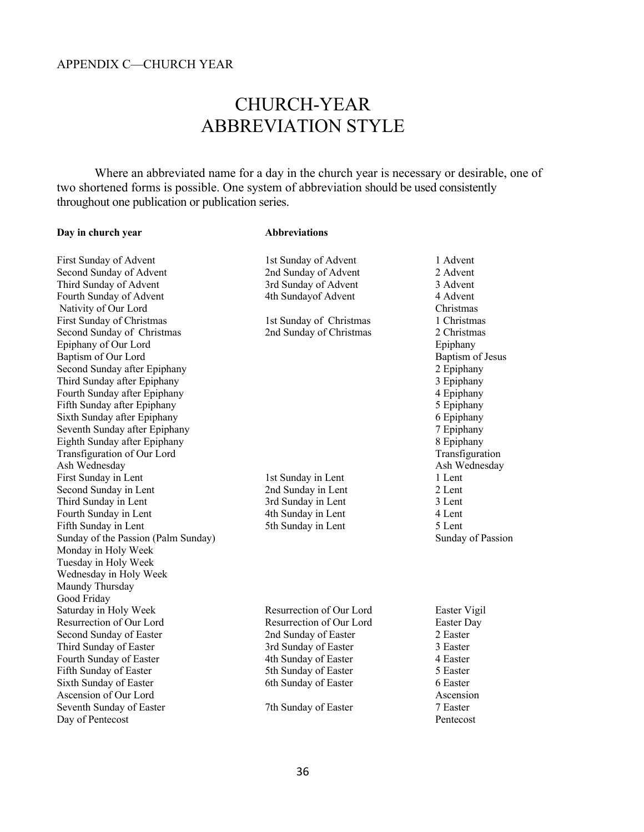# CHURCH-YEAR ABBREVIATION STYLE

Where an abbreviated name for a day in the church year is necessary or desirable, one of two shortened forms is possible. One system of abbreviation should be used consistently throughout one publication or publication series.

#### **Day in church year Abbreviations**

| First Sunday of Advent              | 1st Sunday of Advent     | 1 Advent          |
|-------------------------------------|--------------------------|-------------------|
| Second Sunday of Advent             | 2nd Sunday of Advent     | 2 Advent          |
| Third Sunday of Advent              | 3rd Sunday of Advent     | 3 Advent          |
| Fourth Sunday of Advent             | 4th Sundayof Advent      | 4 Advent          |
| Nativity of Our Lord                |                          | Christmas         |
| First Sunday of Christmas           | 1st Sunday of Christmas  | 1 Christmas       |
| Second Sunday of Christmas          | 2nd Sunday of Christmas  | 2 Christmas       |
| Epiphany of Our Lord                |                          | Epiphany          |
| Baptism of Our Lord                 |                          | Baptism of Jesus  |
| Second Sunday after Epiphany        |                          | 2 Epiphany        |
| Third Sunday after Epiphany         |                          | 3 Epiphany        |
| Fourth Sunday after Epiphany        |                          | 4 Epiphany        |
| Fifth Sunday after Epiphany         |                          | 5 Epiphany        |
| Sixth Sunday after Epiphany         |                          | 6 Epiphany        |
| Seventh Sunday after Epiphany       |                          | 7 Epiphany        |
| Eighth Sunday after Epiphany        |                          | 8 Epiphany        |
| Transfiguration of Our Lord         |                          | Transfiguration   |
| Ash Wednesday                       |                          | Ash Wednesday     |
| First Sunday in Lent                | 1st Sunday in Lent       | 1 Lent            |
| Second Sunday in Lent               | 2nd Sunday in Lent       | 2 Lent            |
| Third Sunday in Lent                | 3rd Sunday in Lent       | 3 Lent            |
| Fourth Sunday in Lent               | 4th Sunday in Lent       | 4 Lent            |
| Fifth Sunday in Lent                | 5th Sunday in Lent       | 5 Lent            |
| Sunday of the Passion (Palm Sunday) |                          | Sunday of Passion |
| Monday in Holy Week                 |                          |                   |
| Tuesday in Holy Week                |                          |                   |
| Wednesday in Holy Week              |                          |                   |
| Maundy Thursday                     |                          |                   |
| Good Friday                         |                          |                   |
| Saturday in Holy Week               | Resurrection of Our Lord | Easter Vigil      |
| Resurrection of Our Lord            | Resurrection of Our Lord | Easter Day        |
| Second Sunday of Easter             | 2nd Sunday of Easter     | 2 Easter          |
| Third Sunday of Easter              | 3rd Sunday of Easter     | 3 Easter          |
| Fourth Sunday of Easter             | 4th Sunday of Easter     | 4 Easter          |
| Fifth Sunday of Easter              | 5th Sunday of Easter     | 5 Easter          |
| Sixth Sunday of Easter              | 6th Sunday of Easter     | 6 Easter          |
| Ascension of Our Lord               |                          | Ascension         |
| Seventh Sunday of Easter            | 7th Sunday of Easter     | 7 Easter          |
| Day of Pentecost                    |                          | Pentecost         |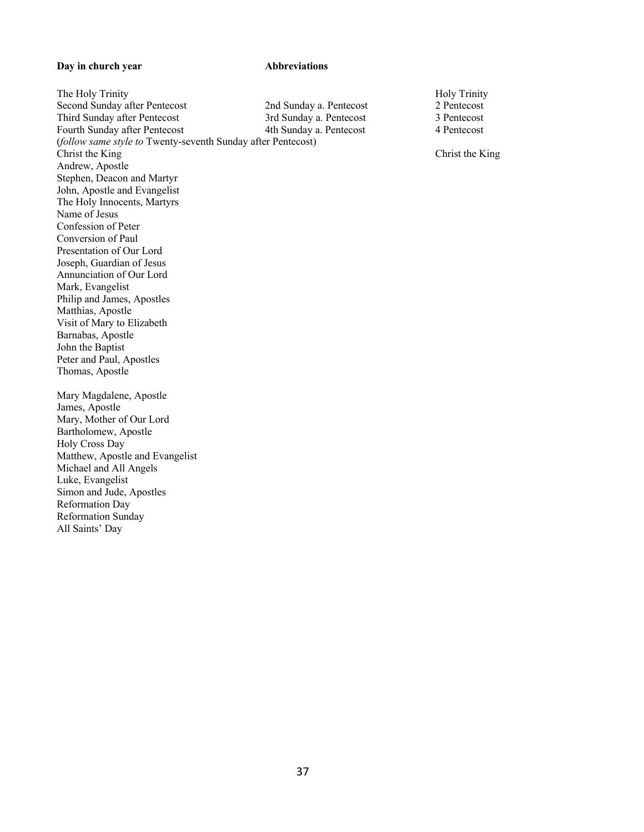#### **Day in church year Abbreviations**

Michael and All Angels Luke, Evangelist

Simon and Jude, Apostles

Reformation Day Reformation Sunday All Saints' Day

The Holy Trinity **Holy Trinity** Holy Trinity **Holy Trinity** Second Sunday after Pentecost 2nd Sunday a. Pentecost 2 Pentecost 2 Pentecost 3rd Sunday a. Pentecost 3 Pentecost 3 Pentecost Third Sunday after Pentecost 3rd Sunday a. Pentecost 3 Pentecost Fourth Sunday after Pentecost 4th Sunday a. Pentecost 4 Pentecost (*follow same style to* Twenty-seventh Sunday after Pentecost) Christ the King Christ the King Andrew, Apostle Stephen, Deacon and Martyr John, Apostle and Evangelist The Holy Innocents, Martyrs Name of Jesus Confession of Peter Conversion of Paul Presentation of Our Lord Joseph, Guardian of Jesus Annunciation of Our Lord Mark, Evangelist Philip and James, Apostles Matthias, Apostle Visit of Mary to Elizabeth Barnabas, Apostle John the Baptist Peter and Paul, Apostles Thomas, Apostle Mary Magdalene, Apostle James, Apostle Mary, Mother of Our Lord Bartholomew, Apostle Holy Cross Day Matthew, Apostle and Evangelist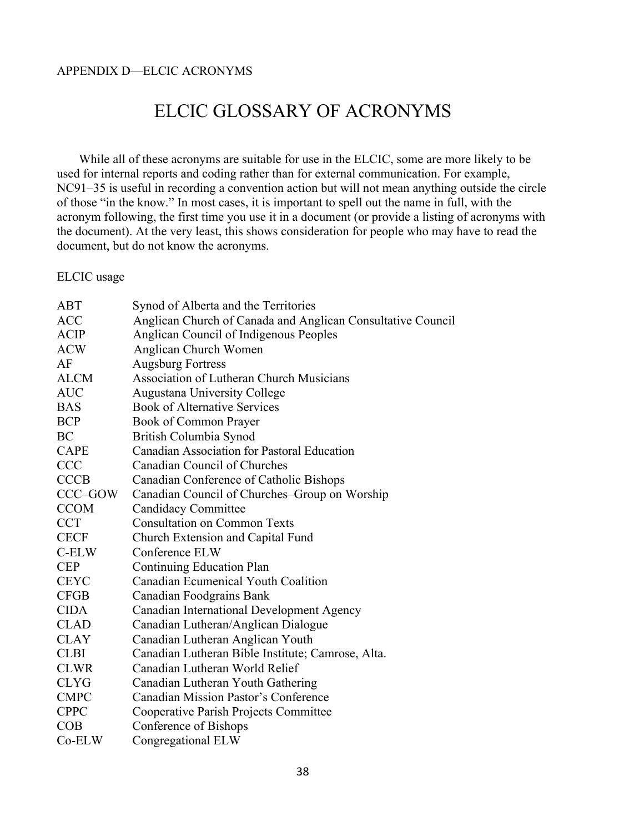#### APPENDIX D—ELCIC ACRONYMS

# ELCIC GLOSSARY OF ACRONYMS

 While all of these acronyms are suitable for use in the ELCIC, some are more likely to be used for internal reports and coding rather than for external communication. For example, NC91–35 is useful in recording a convention action but will not mean anything outside the circle of those "in the know." In most cases, it is important to spell out the name in full, with the acronym following, the first time you use it in a document (or provide a listing of acronyms with the document). At the very least, this shows consideration for people who may have to read the document, but do not know the acronyms.

ELCIC usage

| ABT         | Synod of Alberta and the Territories                        |
|-------------|-------------------------------------------------------------|
| <b>ACC</b>  | Anglican Church of Canada and Anglican Consultative Council |
| <b>ACIP</b> | Anglican Council of Indigenous Peoples                      |
| <b>ACW</b>  | Anglican Church Women                                       |
| AF          | <b>Augsburg Fortress</b>                                    |
| <b>ALCM</b> | <b>Association of Lutheran Church Musicians</b>             |
| <b>AUC</b>  | Augustana University College                                |
| <b>BAS</b>  | <b>Book of Alternative Services</b>                         |
| <b>BCP</b>  | Book of Common Prayer                                       |
| BC          | British Columbia Synod                                      |
| <b>CAPE</b> | Canadian Association for Pastoral Education                 |
| <b>CCC</b>  | Canadian Council of Churches                                |
| <b>CCCB</b> | Canadian Conference of Catholic Bishops                     |
| CCC–GOW     | Canadian Council of Churches–Group on Worship               |
| <b>CCOM</b> | <b>Candidacy Committee</b>                                  |
| <b>CCT</b>  | <b>Consultation on Common Texts</b>                         |
| <b>CECF</b> | Church Extension and Capital Fund                           |
| C-ELW       | Conference ELW                                              |
| <b>CEP</b>  | Continuing Education Plan                                   |
| <b>CEYC</b> | Canadian Ecumenical Youth Coalition                         |
| <b>CFGB</b> | Canadian Foodgrains Bank                                    |
| <b>CIDA</b> | Canadian International Development Agency                   |
| <b>CLAD</b> | Canadian Lutheran/Anglican Dialogue                         |
| <b>CLAY</b> | Canadian Lutheran Anglican Youth                            |
| <b>CLBI</b> | Canadian Lutheran Bible Institute; Camrose, Alta.           |
| <b>CLWR</b> | Canadian Lutheran World Relief                              |
| <b>CLYG</b> | Canadian Lutheran Youth Gathering                           |
| <b>CMPC</b> | <b>Canadian Mission Pastor's Conference</b>                 |
| <b>CPPC</b> | Cooperative Parish Projects Committee                       |
| COB         | Conference of Bishops                                       |
| Co-ELW      | Congregational ELW                                          |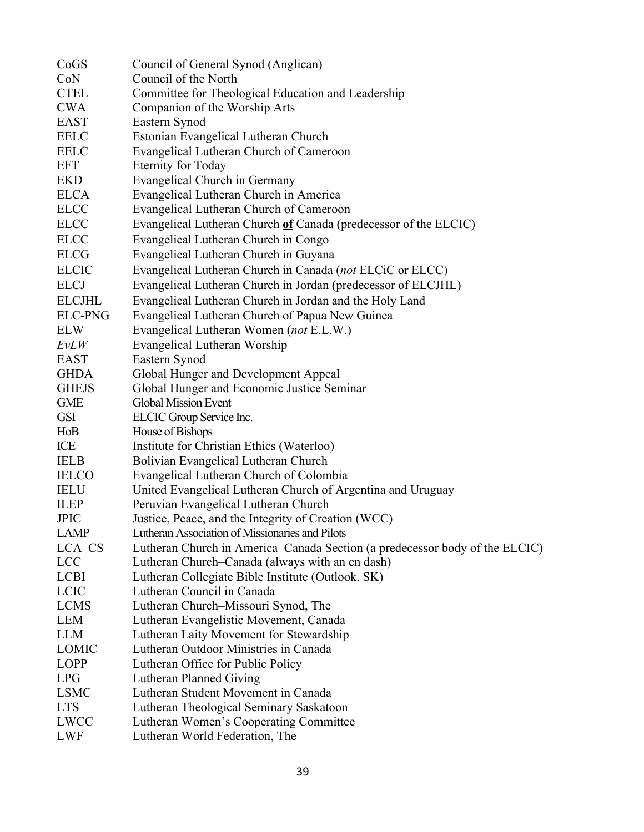| CoGS           | Council of General Synod (Anglican)                                         |
|----------------|-----------------------------------------------------------------------------|
| CoN            | Council of the North                                                        |
| <b>CTEL</b>    | Committee for Theological Education and Leadership                          |
| <b>CWA</b>     | Companion of the Worship Arts                                               |
| <b>EAST</b>    | Eastern Synod                                                               |
| <b>EELC</b>    | Estonian Evangelical Lutheran Church                                        |
| <b>EELC</b>    | Evangelical Lutheran Church of Cameroon                                     |
| <b>EFT</b>     | <b>Eternity for Today</b>                                                   |
| <b>EKD</b>     | Evangelical Church in Germany                                               |
| <b>ELCA</b>    | Evangelical Lutheran Church in America                                      |
| <b>ELCC</b>    | Evangelical Lutheran Church of Cameroon                                     |
| <b>ELCC</b>    | Evangelical Lutheran Church of Canada (predecessor of the ELCIC)            |
| <b>ELCC</b>    | Evangelical Lutheran Church in Congo                                        |
| <b>ELCG</b>    | Evangelical Lutheran Church in Guyana                                       |
| <b>ELCIC</b>   | Evangelical Lutheran Church in Canada (not ELCiC or ELCC)                   |
| <b>ELCJ</b>    | Evangelical Lutheran Church in Jordan (predecessor of ELCJHL)               |
| <b>ELCJHL</b>  | Evangelical Lutheran Church in Jordan and the Holy Land                     |
| <b>ELC-PNG</b> | Evangelical Lutheran Church of Papua New Guinea                             |
| <b>ELW</b>     | Evangelical Lutheran Women (not E.L.W.)                                     |
| $E\nu LW$      | Evangelical Lutheran Worship                                                |
| <b>EAST</b>    | Eastern Synod                                                               |
| <b>GHDA</b>    | Global Hunger and Development Appeal                                        |
| <b>GHEJS</b>   | Global Hunger and Economic Justice Seminar                                  |
| <b>GME</b>     | <b>Global Mission Event</b>                                                 |
| <b>GSI</b>     | ELCIC Group Service Inc.                                                    |
| HoB            | House of Bishops                                                            |
| ICE            | Institute for Christian Ethics (Waterloo)                                   |
| <b>IELB</b>    | Bolivian Evangelical Lutheran Church                                        |
| <b>IELCO</b>   | Evangelical Lutheran Church of Colombia                                     |
| <b>IELU</b>    | United Evangelical Lutheran Church of Argentina and Uruguay                 |
| <b>ILEP</b>    | Peruvian Evangelical Lutheran Church                                        |
| <b>JPIC</b>    | Justice, Peace, and the Integrity of Creation (WCC)                         |
| <b>LAMP</b>    | Lutheran Association of Missionaries and Pilots                             |
| LCA-CS         | Lutheran Church in America–Canada Section (a predecessor body of the ELCIC) |
| <b>LCC</b>     | Lutheran Church–Canada (always with an en dash)                             |
| <b>LCBI</b>    | Lutheran Collegiate Bible Institute (Outlook, SK)                           |
| <b>LCIC</b>    | Lutheran Council in Canada                                                  |
| <b>LCMS</b>    | Lutheran Church-Missouri Synod, The                                         |
| <b>LEM</b>     | Lutheran Evangelistic Movement, Canada                                      |
| <b>LLM</b>     | Lutheran Laity Movement for Stewardship                                     |
| <b>LOMIC</b>   | Lutheran Outdoor Ministries in Canada                                       |
| LOPP           | Lutheran Office for Public Policy                                           |
| <b>LPG</b>     | Lutheran Planned Giving                                                     |
| <b>LSMC</b>    | Lutheran Student Movement in Canada                                         |
| <b>LTS</b>     | Lutheran Theological Seminary Saskatoon                                     |
| <b>LWCC</b>    | Lutheran Women's Cooperating Committee                                      |
| <b>LWF</b>     | Lutheran World Federation, The                                              |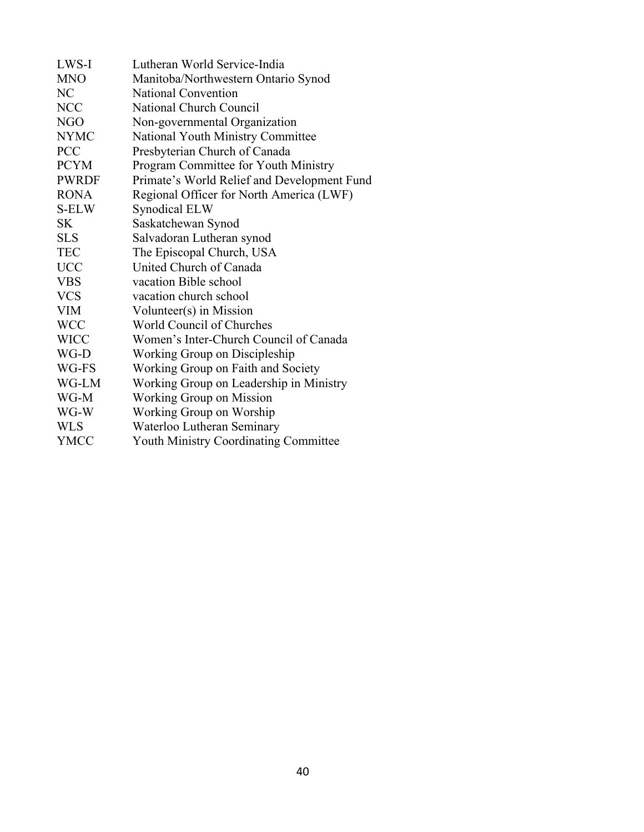| LWS-I        | Lutheran World Service-India                 |
|--------------|----------------------------------------------|
| <b>MNO</b>   | Manitoba/Northwestern Ontario Synod          |
| NC           | National Convention                          |
| <b>NCC</b>   | National Church Council                      |
| <b>NGO</b>   | Non-governmental Organization                |
| <b>NYMC</b>  | National Youth Ministry Committee            |
| <b>PCC</b>   | Presbyterian Church of Canada                |
| <b>PCYM</b>  | Program Committee for Youth Ministry         |
| <b>PWRDF</b> | Primate's World Relief and Development Fund  |
| <b>RONA</b>  | Regional Officer for North America (LWF)     |
| S-ELW        | Synodical ELW                                |
| SK           | Saskatchewan Synod                           |
| <b>SLS</b>   | Salvadoran Lutheran synod                    |
| <b>TEC</b>   | The Episcopal Church, USA                    |
| <b>UCC</b>   | United Church of Canada                      |
| <b>VBS</b>   | vacation Bible school                        |
| <b>VCS</b>   | vacation church school                       |
| <b>VIM</b>   | Volunteer(s) in Mission                      |
| <b>WCC</b>   | World Council of Churches                    |
| <b>WICC</b>  | Women's Inter-Church Council of Canada       |
| WG-D         | Working Group on Discipleship                |
| WG-FS        | Working Group on Faith and Society           |
| WG-LM        | Working Group on Leadership in Ministry      |
| WG-M         | <b>Working Group on Mission</b>              |
| WG-W         | Working Group on Worship                     |
| <b>WLS</b>   | Waterloo Lutheran Seminary                   |
| <b>YMCC</b>  | <b>Youth Ministry Coordinating Committee</b> |
|              |                                              |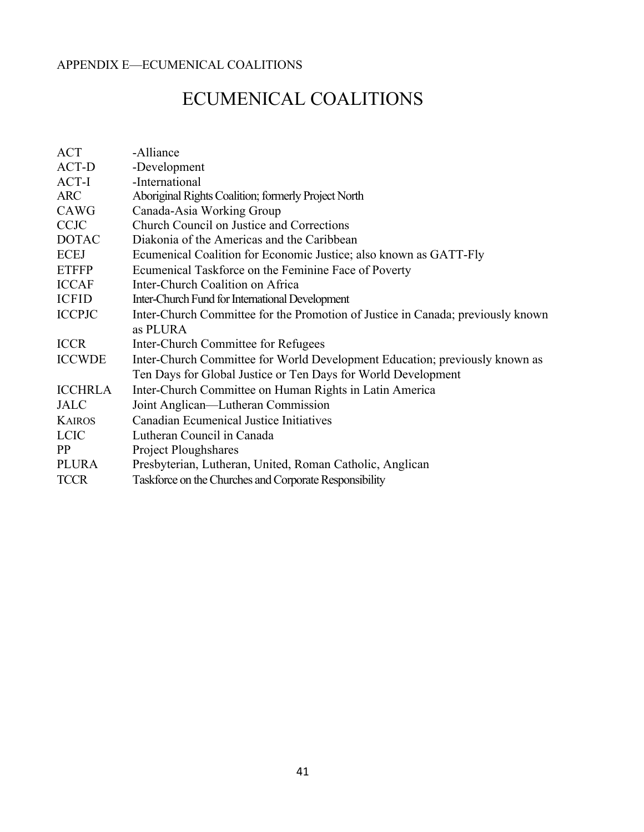#### APPENDIX E—ECUMENICAL COALITIONS

# ECUMENICAL COALITIONS

| ACT            | -Alliance                                                                       |  |  |  |  |
|----------------|---------------------------------------------------------------------------------|--|--|--|--|
| ACT-D          | -Development                                                                    |  |  |  |  |
| ACT-I          | -International                                                                  |  |  |  |  |
| <b>ARC</b>     | Aboriginal Rights Coalition; formerly Project North                             |  |  |  |  |
| CAWG           | Canada-Asia Working Group                                                       |  |  |  |  |
| <b>CCJC</b>    | Church Council on Justice and Corrections                                       |  |  |  |  |
| <b>DOTAC</b>   | Diakonia of the Americas and the Caribbean                                      |  |  |  |  |
| <b>ECEJ</b>    | Ecumenical Coalition for Economic Justice; also known as GATT-Fly               |  |  |  |  |
| <b>ETFFP</b>   | Ecumenical Taskforce on the Feminine Face of Poverty                            |  |  |  |  |
| <b>ICCAF</b>   | Inter-Church Coalition on Africa                                                |  |  |  |  |
| <b>ICFID</b>   | Inter-Church Fund for International Development                                 |  |  |  |  |
| <b>ICCPJC</b>  | Inter-Church Committee for the Promotion of Justice in Canada; previously known |  |  |  |  |
|                | as PLURA                                                                        |  |  |  |  |
| <b>ICCR</b>    | Inter-Church Committee for Refugees                                             |  |  |  |  |
| <b>ICCWDE</b>  | Inter-Church Committee for World Development Education; previously known as     |  |  |  |  |
|                | Ten Days for Global Justice or Ten Days for World Development                   |  |  |  |  |
| <b>ICCHRLA</b> | Inter-Church Committee on Human Rights in Latin America                         |  |  |  |  |
| <b>JALC</b>    | Joint Anglican—Lutheran Commission                                              |  |  |  |  |
| <b>KAIROS</b>  | <b>Canadian Ecumenical Justice Initiatives</b>                                  |  |  |  |  |
| <b>LCIC</b>    | Lutheran Council in Canada                                                      |  |  |  |  |
| PP             | <b>Project Ploughshares</b>                                                     |  |  |  |  |
| <b>PLURA</b>   | Presbyterian, Lutheran, United, Roman Catholic, Anglican                        |  |  |  |  |
| <b>TCCR</b>    | Taskforce on the Churches and Corporate Responsibility                          |  |  |  |  |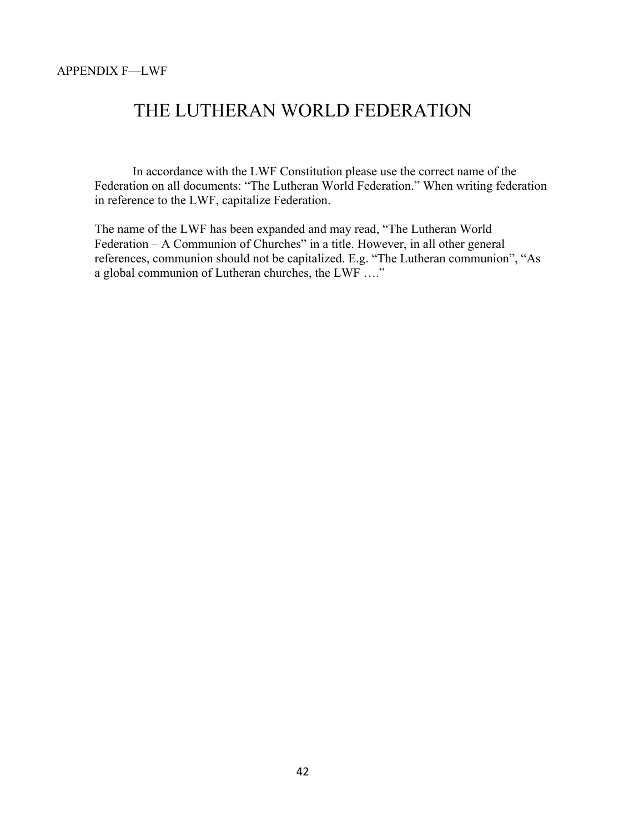#### APPENDIX F—LWF

### THE LUTHERAN WORLD FEDERATION

In accordance with the LWF Constitution please use the correct name of the Federation on all documents: "The Lutheran World Federation." When writing federation in reference to the LWF, capitalize Federation.

The name of the LWF has been expanded and may read, "The Lutheran World Federation – A Communion of Churches" in a title. However, in all other general references, communion should not be capitalized. E.g. "The Lutheran communion", "As a global communion of Lutheran churches, the LWF …."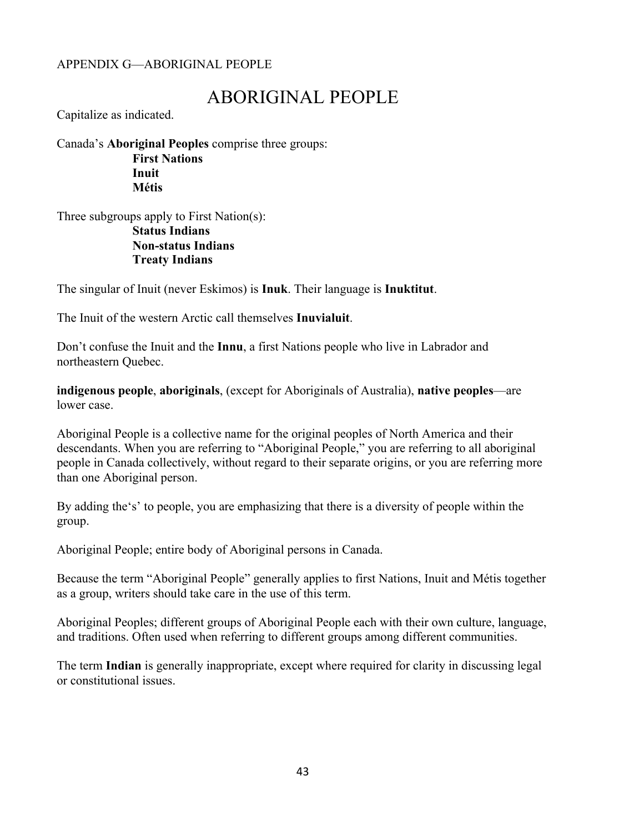#### APPENDIX G—ABORIGINAL PEOPLE

# ABORIGINAL PEOPLE

Capitalize as indicated.

Canada's **Aboriginal Peoples** comprise three groups: **First Nations Inuit Métis**

Three subgroups apply to First Nation(s): **Status Indians Non-status Indians Treaty Indians** 

The singular of Inuit (never Eskimos) is **Inuk**. Their language is **Inuktitut**.

The Inuit of the western Arctic call themselves **Inuvialuit**.

Don't confuse the Inuit and the **Innu**, a first Nations people who live in Labrador and northeastern Quebec.

**indigenous people**, **aboriginals**, (except for Aboriginals of Australia), **native peoples**—are lower case.

Aboriginal People is a collective name for the original peoples of North America and their descendants. When you are referring to "Aboriginal People," you are referring to all aboriginal people in Canada collectively, without regard to their separate origins, or you are referring more than one Aboriginal person.

By adding the's' to people, you are emphasizing that there is a diversity of people within the group.

Aboriginal People; entire body of Aboriginal persons in Canada.

Because the term "Aboriginal People" generally applies to first Nations, Inuit and Métis together as a group, writers should take care in the use of this term.

Aboriginal Peoples; different groups of Aboriginal People each with their own culture, language, and traditions. Often used when referring to different groups among different communities.

The term **Indian** is generally inappropriate, except where required for clarity in discussing legal or constitutional issues.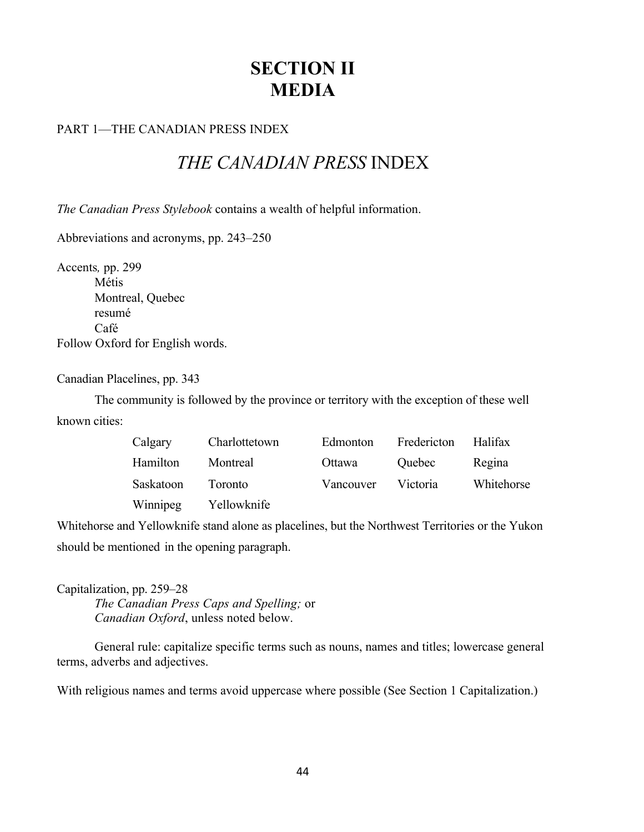# **SECTION II MEDIA**

#### PART 1—THE CANADIAN PRESS INDEX

# *THE CANADIAN PRESS* INDEX

*The Canadian Press Stylebook* contains a wealth of helpful information.

Abbreviations and acronyms, pp. 243–250

Accents*,* pp. 299 Métis Montreal, Quebec resumé Café Follow Oxford for English words.

Canadian Placelines, pp. 343

The community is followed by the province or territory with the exception of these well known cities:

| Calgary           | Charlottetown        | Edmonton           | Fredericton Halifax |            |
|-------------------|----------------------|--------------------|---------------------|------------|
| Hamilton          | Montreal             | Ottawa             | Quebec              | Regina     |
| Saskatoon Toronto |                      | Vancouver Victoria |                     | Whitehorse |
|                   | Winnipeg Yellowknife |                    |                     |            |

Whitehorse and Yellowknife stand alone as placelines, but the Northwest Territories or the Yukon should be mentioned in the opening paragraph.

Capitalization, pp. 259–28 *The Canadian Press Caps and Spelling;* or *Canadian Oxford*, unless noted below.

General rule: capitalize specific terms such as nouns, names and titles; lowercase general terms, adverbs and adjectives.

With religious names and terms avoid uppercase where possible (See Section 1 Capitalization.)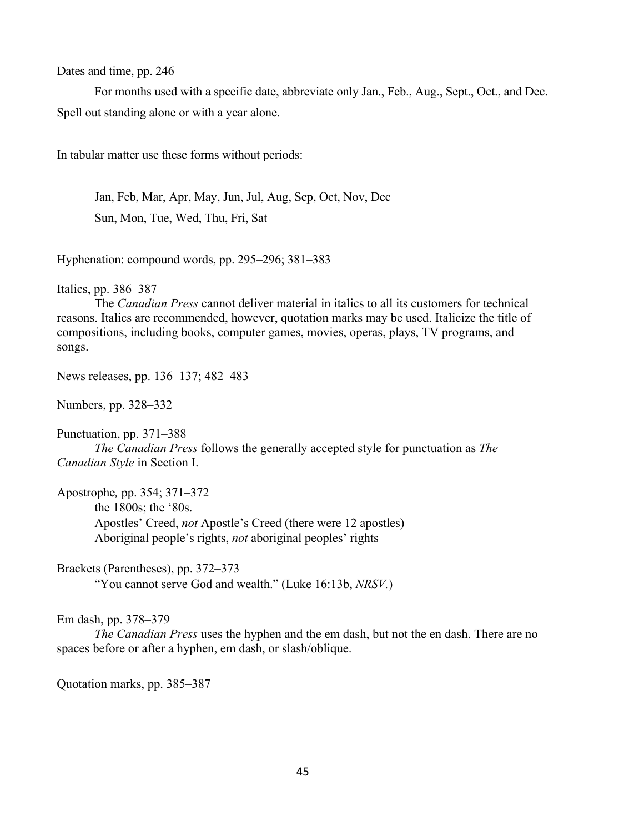Dates and time, pp. 246

For months used with a specific date, abbreviate only Jan., Feb., Aug., Sept., Oct., and Dec. Spell out standing alone or with a year alone.

In tabular matter use these forms without periods:

Jan, Feb, Mar, Apr, May, Jun, Jul, Aug, Sep, Oct, Nov, Dec Sun, Mon, Tue, Wed, Thu, Fri, Sat

Hyphenation: compound words, pp. 295–296; 381–383

Italics, pp. 386–387

The *Canadian Press* cannot deliver material in italics to all its customers for technical reasons. Italics are recommended, however, quotation marks may be used. Italicize the title of compositions, including books, computer games, movies, operas, plays, TV programs, and songs.

News releases, pp. 136–137; 482–483

Numbers, pp. 328–332

Punctuation, pp. 371–388 *The Canadian Press* follows the generally accepted style for punctuation as *The Canadian Style* in Section I.

Apostrophe*,* pp. 354; 371–372 the 1800s; the '80s. Apostles' Creed, *not* Apostle's Creed (there were 12 apostles) Aboriginal people's rights, *not* aboriginal peoples' rights

Brackets (Parentheses), pp. 372–373 "You cannot serve God and wealth." (Luke 16:13b, *NRSV.*)

Em dash, pp. 378–379

*The Canadian Press* uses the hyphen and the em dash, but not the en dash. There are no spaces before or after a hyphen, em dash, or slash/oblique.

Quotation marks, pp. 385–387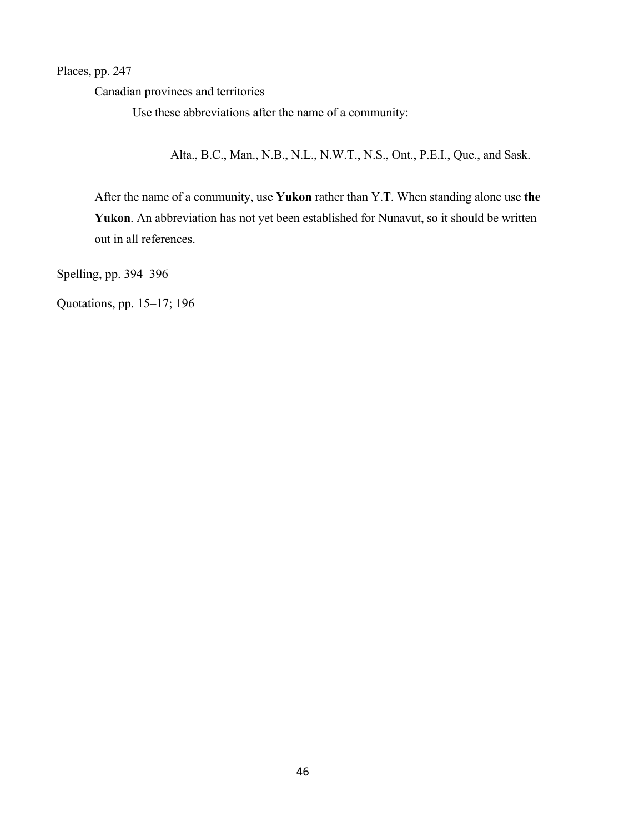Places, pp. 247

Canadian provinces and territories

Use these abbreviations after the name of a community:

Alta., B.C., Man., N.B., N.L., N.W.T., N.S., Ont., P.E.I., Que., and Sask.

After the name of a community, use **Yukon** rather than Y.T. When standing alone use **the Yukon**. An abbreviation has not yet been established for Nunavut, so it should be written out in all references.

Spelling, pp. 394–396

Quotations, pp. 15–17; 196